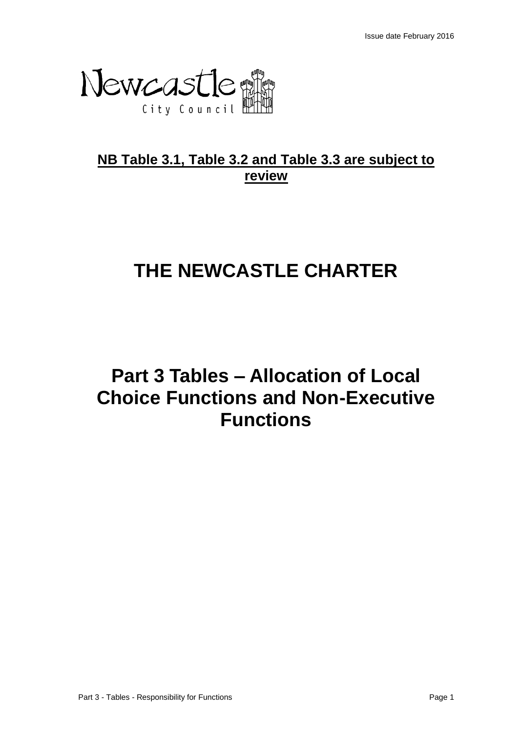

# **NB Table 3.1, Table 3.2 and Table 3.3 are subject to review**

# **THE NEWCASTLE CHARTER**

# **Part 3 Tables – Allocation of Local Choice Functions and Non-Executive Functions**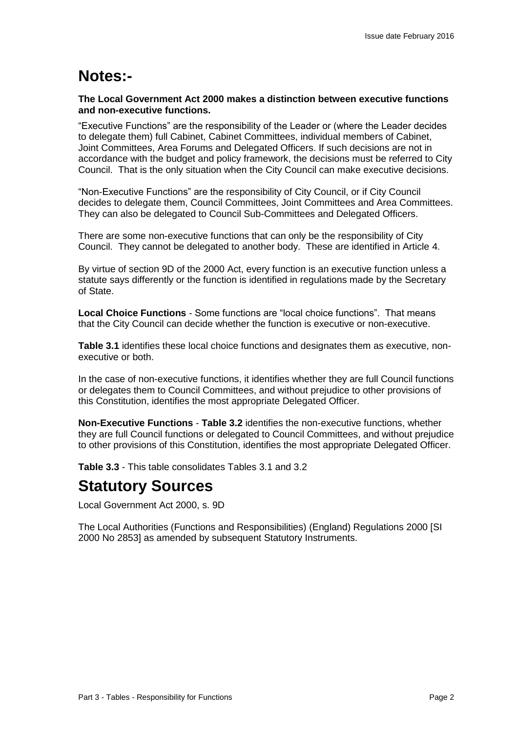# **Notes:-**

### **The Local Government Act 2000 makes a distinction between executive functions and non-executive functions.**

"Executive Functions" are the responsibility of the Leader or (where the Leader decides to delegate them) full Cabinet, Cabinet Committees, individual members of Cabinet, Joint Committees, Area Forums and Delegated Officers. If such decisions are not in accordance with the budget and policy framework, the decisions must be referred to City Council. That is the only situation when the City Council can make executive decisions.

"Non-Executive Functions" are the responsibility of City Council, or if City Council decides to delegate them, Council Committees, Joint Committees and Area Committees. They can also be delegated to Council Sub-Committees and Delegated Officers.

There are some non-executive functions that can only be the responsibility of City Council. They cannot be delegated to another body. These are identified in Article 4.

By virtue of section 9D of the 2000 Act, every function is an executive function unless a statute says differently or the function is identified in regulations made by the Secretary of State.

**Local Choice Functions** - Some functions are "local choice functions". That means that the City Council can decide whether the function is executive or non-executive.

**Table 3.1** identifies these local choice functions and designates them as executive, nonexecutive or both.

In the case of non-executive functions, it identifies whether they are full Council functions or delegates them to Council Committees, and without prejudice to other provisions of this Constitution, identifies the most appropriate Delegated Officer.

**Non-Executive Functions** - **Table 3.2** identifies the non-executive functions, whether they are full Council functions or delegated to Council Committees, and without prejudice to other provisions of this Constitution, identifies the most appropriate Delegated Officer.

**Table 3.3** - This table consolidates Tables 3.1 and 3.2

## **Statutory Sources**

Local Government Act 2000, s. 9D

The Local Authorities (Functions and Responsibilities) (England) Regulations 2000 [SI 2000 No 2853] as amended by subsequent Statutory Instruments.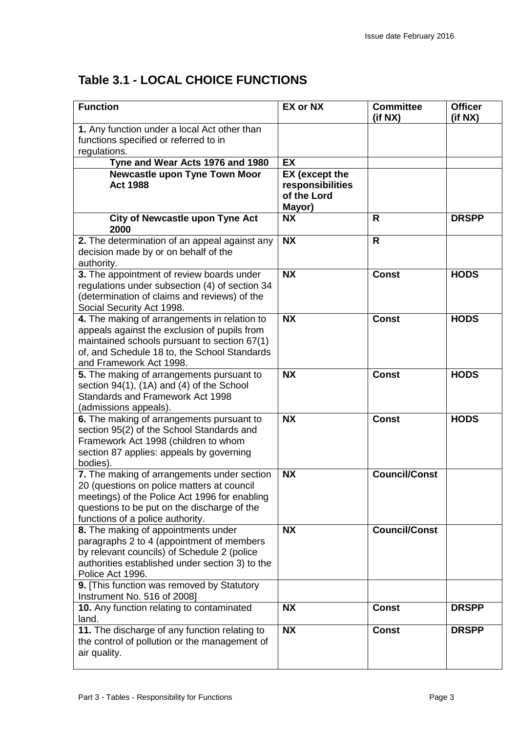## **Table 3.1 - LOCAL CHOICE FUNCTIONS**

| <b>Function</b>                                                                                                                                                                                                                                      | <b>EX or NX</b>                                                    | <b>Committee</b><br>(if NX) | <b>Officer</b><br>(if NX) |
|------------------------------------------------------------------------------------------------------------------------------------------------------------------------------------------------------------------------------------------------------|--------------------------------------------------------------------|-----------------------------|---------------------------|
| 1. Any function under a local Act other than<br>functions specified or referred to in<br>regulations.                                                                                                                                                |                                                                    |                             |                           |
| Tyne and Wear Acts 1976 and 1980                                                                                                                                                                                                                     | <b>EX</b>                                                          |                             |                           |
| <b>Newcastle upon Tyne Town Moor</b><br><b>Act 1988</b>                                                                                                                                                                                              | <b>EX</b> (except the<br>responsibilities<br>of the Lord<br>Mayor) |                             |                           |
| <b>City of Newcastle upon Tyne Act</b><br>2000                                                                                                                                                                                                       | <b>NX</b>                                                          | R                           | <b>DRSPP</b>              |
| 2. The determination of an appeal against any<br>decision made by or on behalf of the<br>authority.                                                                                                                                                  | <b>NX</b>                                                          | $\mathsf{R}$                |                           |
| 3. The appointment of review boards under<br>regulations under subsection (4) of section 34<br>(determination of claims and reviews) of the<br>Social Security Act 1998.                                                                             | <b>NX</b>                                                          | <b>Const</b>                | <b>HODS</b>               |
| 4. The making of arrangements in relation to<br>appeals against the exclusion of pupils from<br>maintained schools pursuant to section 67(1)<br>of, and Schedule 18 to, the School Standards<br>and Framework Act 1998.                              | <b>NX</b>                                                          | <b>Const</b>                | <b>HODS</b>               |
| 5. The making of arrangements pursuant to<br>section 94(1), (1A) and (4) of the School<br>Standards and Framework Act 1998<br>(admissions appeals).                                                                                                  | <b>NX</b>                                                          | <b>Const</b>                | <b>HODS</b>               |
| 6. The making of arrangements pursuant to<br>section 95(2) of the School Standards and<br>Framework Act 1998 (children to whom<br>section 87 applies: appeals by governing<br>bodies).                                                               | <b>NX</b>                                                          | <b>Const</b>                | <b>HODS</b>               |
| 7. The making of arrangements under section<br>20 (questions on police matters at council<br>meetings) of the Police Act 1996 for enabling<br>questions to be put on the discharge of the<br>functions of a police authority.                        | <b>NX</b>                                                          | <b>Council/Const</b>        |                           |
| 8. The making of appointments under<br>paragraphs 2 to 4 (appointment of members<br>by relevant councils) of Schedule 2 (police<br>authorities established under section 3) to the<br>Police Act 1996.<br>9. [This function was removed by Statutory | <b>NX</b>                                                          | <b>Council/Const</b>        |                           |
| Instrument No. 516 of 2008]<br>10. Any function relating to contaminated                                                                                                                                                                             | <b>NX</b>                                                          | <b>Const</b>                | <b>DRSPP</b>              |
| land.<br>11. The discharge of any function relating to                                                                                                                                                                                               | <b>NX</b>                                                          | <b>Const</b>                | <b>DRSPP</b>              |
| the control of pollution or the management of<br>air quality.                                                                                                                                                                                        |                                                                    |                             |                           |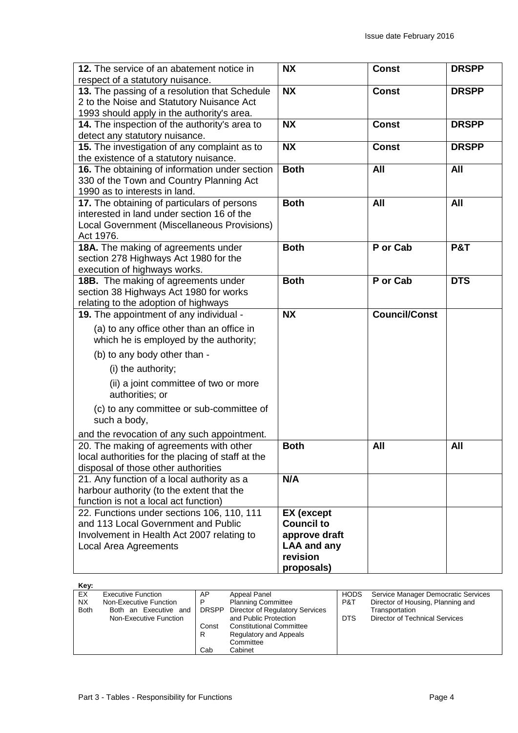| 12. The service of an abatement notice in<br>respect of a statutory nuisance.                                                                            | <b>NX</b>                                                                                               | <b>Const</b>         | <b>DRSPP</b>   |
|----------------------------------------------------------------------------------------------------------------------------------------------------------|---------------------------------------------------------------------------------------------------------|----------------------|----------------|
| 13. The passing of a resolution that Schedule<br>2 to the Noise and Statutory Nuisance Act<br>1993 should apply in the authority's area.                 | <b>NX</b>                                                                                               | <b>Const</b>         | <b>DRSPP</b>   |
| 14. The inspection of the authority's area to<br>detect any statutory nuisance.                                                                          | <b>NX</b>                                                                                               | <b>Const</b>         | <b>DRSPP</b>   |
| 15. The investigation of any complaint as to<br>the existence of a statutory nuisance.                                                                   | <b>NX</b>                                                                                               | <b>Const</b>         | <b>DRSPP</b>   |
| 16. The obtaining of information under section<br>330 of the Town and Country Planning Act<br>1990 as to interests in land.                              | <b>Both</b>                                                                                             | All                  | All            |
| 17. The obtaining of particulars of persons<br>interested in land under section 16 of the<br>Local Government (Miscellaneous Provisions)<br>Act 1976.    | <b>Both</b>                                                                                             | All                  | <b>All</b>     |
| 18A. The making of agreements under<br>section 278 Highways Act 1980 for the<br>execution of highways works.                                             | <b>Both</b>                                                                                             | P or Cab             | <b>P&amp;T</b> |
| 18B. The making of agreements under<br>section 38 Highways Act 1980 for works<br>relating to the adoption of highways                                    | <b>Both</b>                                                                                             | P or Cab             | <b>DTS</b>     |
| 19. The appointment of any individual -                                                                                                                  | <b>NX</b>                                                                                               | <b>Council/Const</b> |                |
| (a) to any office other than an office in<br>which he is employed by the authority;                                                                      |                                                                                                         |                      |                |
| (b) to any body other than -                                                                                                                             |                                                                                                         |                      |                |
| (i) the authority;                                                                                                                                       |                                                                                                         |                      |                |
| (ii) a joint committee of two or more<br>authorities; or                                                                                                 |                                                                                                         |                      |                |
| (c) to any committee or sub-committee of<br>such a body,                                                                                                 |                                                                                                         |                      |                |
| and the revocation of any such appointment.                                                                                                              |                                                                                                         |                      |                |
| 20. The making of agreements with other<br>local authorities for the placing of staff at the<br>disposal of those other authorities                      | <b>Both</b>                                                                                             | All                  | All            |
| 21. Any function of a local authority as a<br>harbour authority (to the extent that the<br>function is not a local act function)                         | N/A                                                                                                     |                      |                |
| 22. Functions under sections 106, 110, 111<br>and 113 Local Government and Public<br>Involvement in Health Act 2007 relating to<br>Local Area Agreements | <b>EX</b> (except<br><b>Council to</b><br>approve draft<br><b>LAA and any</b><br>revision<br>proposals) |                      |                |

| Key:        |                           |       |                                       |             |                                     |
|-------------|---------------------------|-------|---------------------------------------|-------------|-------------------------------------|
| EX          | <b>Executive Function</b> | AP    | Appeal Panel                          | <b>HODS</b> | Service Manager Democratic Services |
| <b>NX</b>   | Non-Executive Function    | P     | <b>Planning Committee</b>             | P&T         | Director of Housing, Planning and   |
| <b>Both</b> | Both an Executive and     |       | DRSPP Director of Regulatory Services |             | Transportation                      |
|             | Non-Executive Function    |       | and Public Protection                 | <b>DTS</b>  | Director of Technical Services      |
|             |                           | Const | <b>Constitutional Committee</b>       |             |                                     |
|             |                           | R     | Regulatory and Appeals                |             |                                     |
|             |                           |       | Committee                             |             |                                     |
|             |                           | Cab   | Cabinet                               |             |                                     |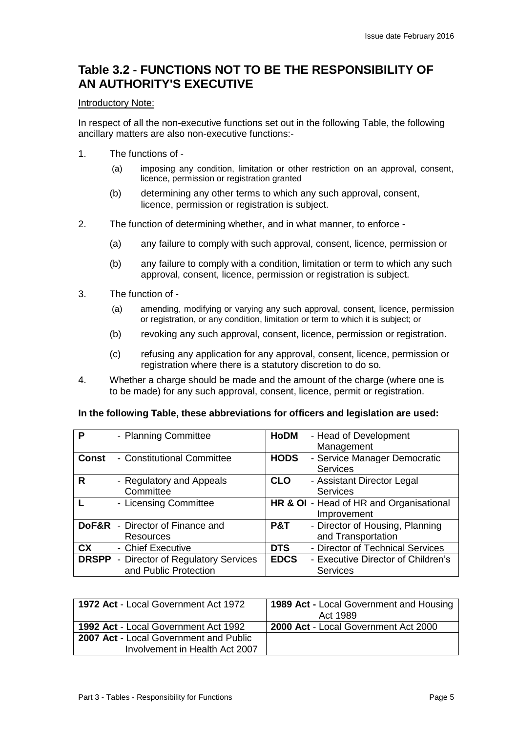## **Table 3.2 - FUNCTIONS NOT TO BE THE RESPONSIBILITY OF AN AUTHORITY'S EXECUTIVE**

### Introductory Note:

In respect of all the non-executive functions set out in the following Table, the following ancillary matters are also non-executive functions:-

- 1. The functions of
	- (a) imposing any condition, limitation or other restriction on an approval, consent, licence, permission or registration granted
	- (b) determining any other terms to which any such approval, consent, licence, permission or registration is subject.
- 2. The function of determining whether, and in what manner, to enforce
	- (a) any failure to comply with such approval, consent, licence, permission or
	- (b) any failure to comply with a condition, limitation or term to which any such approval, consent, licence, permission or registration is subject.
- 3. The function of
	- (a) amending, modifying or varying any such approval, consent, licence, permission or registration, or any condition, limitation or term to which it is subject; or
	- (b) revoking any such approval, consent, licence, permission or registration.
	- (c) refusing any application for any approval, consent, licence, permission or registration where there is a statutory discretion to do so.
- 4. Whether a charge should be made and the amount of the charge (where one is to be made) for any such approval, consent, licence, permit or registration.

#### **In the following Table, these abbreviations for officers and legislation are used:**

| P            | - Planning Committee                           | <b>HoDM</b><br>- Head of Development              |
|--------------|------------------------------------------------|---------------------------------------------------|
|              |                                                | Management                                        |
| <b>Const</b> | - Constitutional Committee                     | <b>HODS</b><br>- Service Manager Democratic       |
|              |                                                | <b>Services</b>                                   |
| R            | - Regulatory and Appeals                       | - Assistant Director Legal<br><b>CLO</b>          |
|              | Committee                                      | <b>Services</b>                                   |
|              | - Licensing Committee                          | HR & OI - Head of HR and Organisational           |
|              |                                                | Improvement                                       |
|              | <b>DoF&amp;R</b> - Director of Finance and     | - Director of Housing, Planning<br>P&T            |
|              | Resources                                      | and Transportation                                |
| <b>CX</b>    | - Chief Executive                              | - Director of Technical Services<br><b>DTS</b>    |
|              | <b>DRSPP</b> - Director of Regulatory Services | <b>EDCS</b><br>- Executive Director of Children's |
|              | and Public Protection                          | <b>Services</b>                                   |

| <b>1972 Act - Local Government Act 1972</b> | <b>1989 Act - Local Government and Housing</b> |
|---------------------------------------------|------------------------------------------------|
|                                             | Act 1989                                       |
| 1992 Act - Local Government Act 1992        | 2000 Act - Local Government Act 2000           |
| 2007 Act - Local Government and Public      |                                                |
| Involvement in Health Act 2007              |                                                |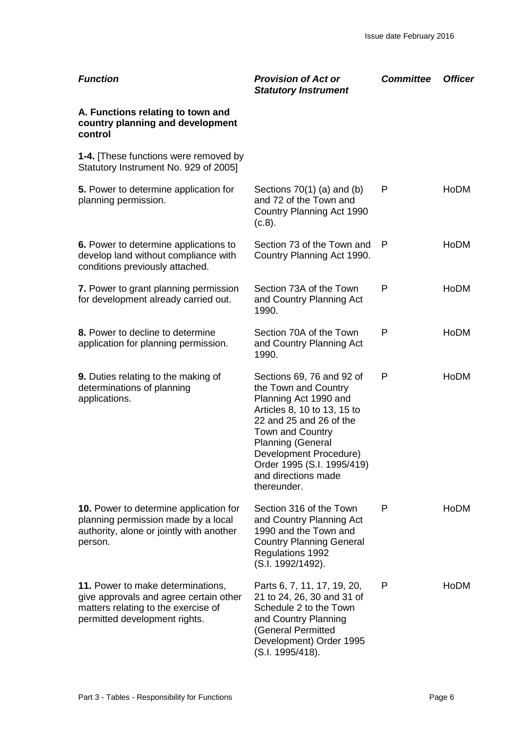| <b>Function</b>                                                                                                                                     | <b>Provision of Act or</b><br><b>Statutory Instrument</b>                                                                                                                                                                                                                                 | <b>Committee</b> | <b>Officer</b> |
|-----------------------------------------------------------------------------------------------------------------------------------------------------|-------------------------------------------------------------------------------------------------------------------------------------------------------------------------------------------------------------------------------------------------------------------------------------------|------------------|----------------|
| A. Functions relating to town and<br>country planning and development<br>control                                                                    |                                                                                                                                                                                                                                                                                           |                  |                |
| <b>1-4.</b> [These functions were removed by<br>Statutory Instrument No. 929 of 2005]                                                               |                                                                                                                                                                                                                                                                                           |                  |                |
| 5. Power to determine application for<br>planning permission.                                                                                       | Sections $70(1)$ (a) and (b)<br>and 72 of the Town and<br>Country Planning Act 1990<br>(c.8).                                                                                                                                                                                             | P                | HoDM           |
| 6. Power to determine applications to<br>develop land without compliance with<br>conditions previously attached.                                    | Section 73 of the Town and<br>Country Planning Act 1990.                                                                                                                                                                                                                                  | P                | <b>HoDM</b>    |
| 7. Power to grant planning permission<br>for development already carried out.                                                                       | Section 73A of the Town<br>and Country Planning Act<br>1990.                                                                                                                                                                                                                              | P                | <b>HoDM</b>    |
| 8. Power to decline to determine<br>application for planning permission.                                                                            | Section 70A of the Town<br>and Country Planning Act<br>1990.                                                                                                                                                                                                                              | P                | <b>HoDM</b>    |
| 9. Duties relating to the making of<br>determinations of planning<br>applications.                                                                  | Sections 69, 76 and 92 of<br>the Town and Country<br>Planning Act 1990 and<br>Articles 8, 10 to 13, 15 to<br>22 and 25 and 26 of the<br><b>Town and Country</b><br><b>Planning (General</b><br>Development Procedure)<br>Order 1995 (S.I. 1995/419)<br>and directions made<br>thereunder. | P                | HoDM           |
| <b>10.</b> Power to determine application for<br>planning permission made by a local<br>authority, alone or jointly with another<br>person.         | Section 316 of the Town<br>and Country Planning Act<br>1990 and the Town and<br><b>Country Planning General</b><br><b>Regulations 1992</b><br>(S.I. 1992/1492).                                                                                                                           | P                | <b>HoDM</b>    |
| 11. Power to make determinations,<br>give approvals and agree certain other<br>matters relating to the exercise of<br>permitted development rights. | Parts 6, 7, 11, 17, 19, 20,<br>21 to 24, 26, 30 and 31 of<br>Schedule 2 to the Town<br>and Country Planning<br>(General Permitted<br>Development) Order 1995<br>(S.I. 1995/418).                                                                                                          | P                | HoDM           |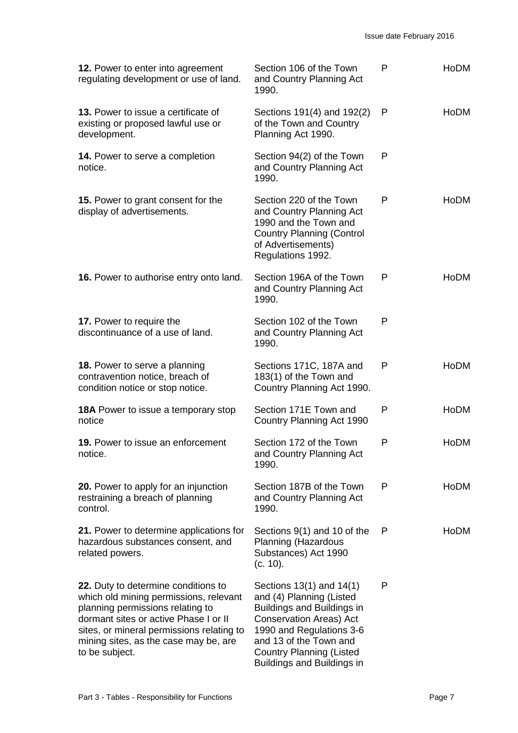| 12. Power to enter into agreement<br>regulating development or use of land.                                                                                                                                                                                        | Section 106 of the Town<br>and Country Planning Act<br>1990.                                                                                                                                                                                | P | <b>HoDM</b> |
|--------------------------------------------------------------------------------------------------------------------------------------------------------------------------------------------------------------------------------------------------------------------|---------------------------------------------------------------------------------------------------------------------------------------------------------------------------------------------------------------------------------------------|---|-------------|
| 13. Power to issue a certificate of<br>existing or proposed lawful use or<br>development.                                                                                                                                                                          | Sections 191(4) and 192(2)<br>of the Town and Country<br>Planning Act 1990.                                                                                                                                                                 | P | <b>HoDM</b> |
| <b>14.</b> Power to serve a completion<br>notice.                                                                                                                                                                                                                  | Section 94(2) of the Town<br>and Country Planning Act<br>1990.                                                                                                                                                                              | P |             |
| <b>15.</b> Power to grant consent for the<br>display of advertisements.                                                                                                                                                                                            | Section 220 of the Town<br>and Country Planning Act<br>1990 and the Town and<br><b>Country Planning (Control</b><br>of Advertisements)<br>Regulations 1992.                                                                                 | P | <b>HoDM</b> |
| 16. Power to authorise entry onto land.                                                                                                                                                                                                                            | Section 196A of the Town<br>and Country Planning Act<br>1990.                                                                                                                                                                               | P | <b>HoDM</b> |
| 17. Power to require the<br>discontinuance of a use of land.                                                                                                                                                                                                       | Section 102 of the Town<br>and Country Planning Act<br>1990.                                                                                                                                                                                | P |             |
| 18. Power to serve a planning<br>contravention notice, breach of<br>condition notice or stop notice.                                                                                                                                                               | Sections 171C, 187A and<br>183(1) of the Town and<br>Country Planning Act 1990.                                                                                                                                                             | P | <b>HoDM</b> |
| <b>18A</b> Power to issue a temporary stop<br>notice                                                                                                                                                                                                               | Section 171E Town and<br>Country Planning Act 1990                                                                                                                                                                                          | P | <b>HoDM</b> |
| <b>19.</b> Power to issue an enforcement<br>notice.                                                                                                                                                                                                                | Section 172 of the Town<br>and Country Planning Act<br>1990.                                                                                                                                                                                | P | <b>HoDM</b> |
| <b>20.</b> Power to apply for an injunction<br>restraining a breach of planning<br>control.                                                                                                                                                                        | Section 187B of the Town<br>and Country Planning Act<br>1990.                                                                                                                                                                               | P | <b>HoDM</b> |
| 21. Power to determine applications for<br>hazardous substances consent, and<br>related powers.                                                                                                                                                                    | Sections 9(1) and 10 of the<br>Planning (Hazardous<br>Substances) Act 1990<br>(c. 10).                                                                                                                                                      | P | <b>HoDM</b> |
| 22. Duty to determine conditions to<br>which old mining permissions, relevant<br>planning permissions relating to<br>dormant sites or active Phase I or II<br>sites, or mineral permissions relating to<br>mining sites, as the case may be, are<br>to be subject. | Sections 13(1) and 14(1)<br>and (4) Planning (Listed<br>Buildings and Buildings in<br><b>Conservation Areas) Act</b><br>1990 and Regulations 3-6<br>and 13 of the Town and<br><b>Country Planning (Listed</b><br>Buildings and Buildings in | P |             |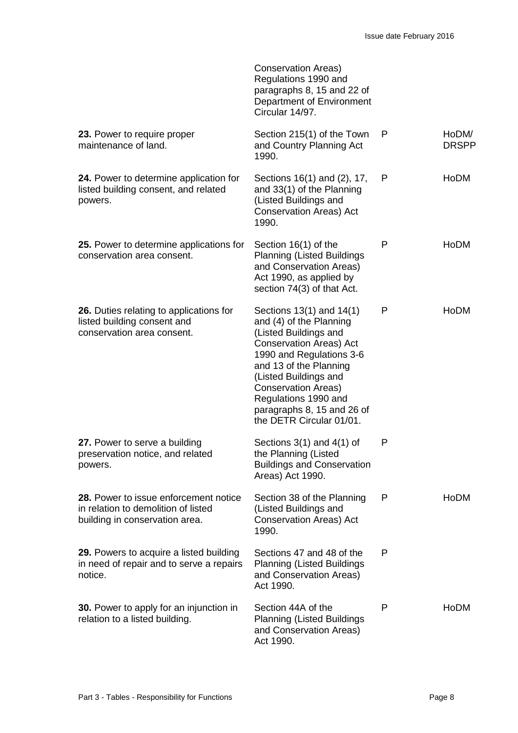|                                                                                                                | Conservation Areas)<br>Regulations 1990 and<br>paragraphs 8, 15 and 22 of<br>Department of Environment<br>Circular 14/97.                                                                                                                                                                                     |   |                       |
|----------------------------------------------------------------------------------------------------------------|---------------------------------------------------------------------------------------------------------------------------------------------------------------------------------------------------------------------------------------------------------------------------------------------------------------|---|-----------------------|
| 23. Power to require proper<br>maintenance of land.                                                            | Section 215(1) of the Town<br>and Country Planning Act<br>1990.                                                                                                                                                                                                                                               | P | HoDM/<br><b>DRSPP</b> |
| 24. Power to determine application for<br>listed building consent, and related<br>powers.                      | Sections 16(1) and (2), 17,<br>and 33(1) of the Planning<br>(Listed Buildings and<br><b>Conservation Areas) Act</b><br>1990.                                                                                                                                                                                  | P | HoDM                  |
| 25. Power to determine applications for<br>conservation area consent.                                          | Section 16(1) of the<br><b>Planning (Listed Buildings</b><br>and Conservation Areas)<br>Act 1990, as applied by<br>section 74(3) of that Act.                                                                                                                                                                 | P | HoDM                  |
| 26. Duties relating to applications for<br>listed building consent and<br>conservation area consent.           | Sections 13(1) and 14(1)<br>and (4) of the Planning<br>(Listed Buildings and<br><b>Conservation Areas) Act</b><br>1990 and Regulations 3-6<br>and 13 of the Planning<br>(Listed Buildings and<br><b>Conservation Areas)</b><br>Regulations 1990 and<br>paragraphs 8, 15 and 26 of<br>the DETR Circular 01/01. | P | <b>HoDM</b>           |
| 27. Power to serve a building<br>preservation notice, and related<br>powers.                                   | Sections $3(1)$ and $4(1)$ of<br>the Planning (Listed<br><b>Buildings and Conservation</b><br>Areas) Act 1990.                                                                                                                                                                                                | P |                       |
| 28. Power to issue enforcement notice<br>in relation to demolition of listed<br>building in conservation area. | Section 38 of the Planning<br>(Listed Buildings and<br><b>Conservation Areas) Act</b><br>1990.                                                                                                                                                                                                                | P | HoDM                  |
| 29. Powers to acquire a listed building<br>in need of repair and to serve a repairs<br>notice.                 | Sections 47 and 48 of the<br><b>Planning (Listed Buildings</b><br>and Conservation Areas)<br>Act 1990.                                                                                                                                                                                                        | P |                       |
| <b>30.</b> Power to apply for an injunction in<br>relation to a listed building.                               | Section 44A of the<br><b>Planning (Listed Buildings</b><br>and Conservation Areas)<br>Act 1990.                                                                                                                                                                                                               | P | <b>HoDM</b>           |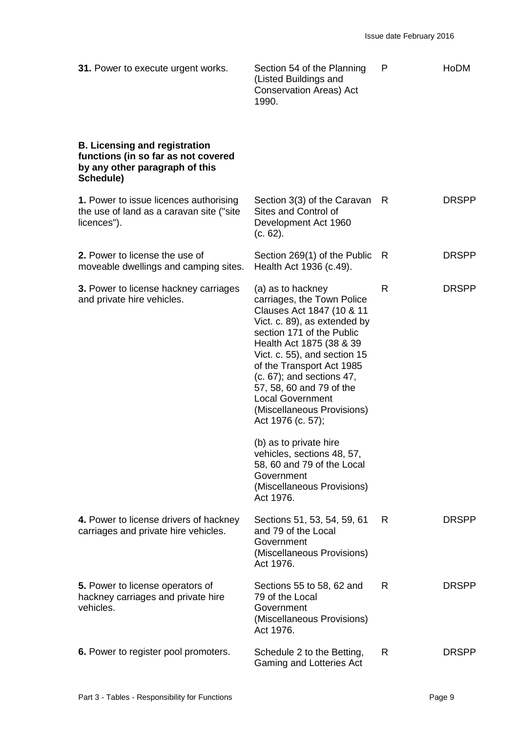| 31. Power to execute urgent works.                                                                                         | Section 54 of the Planning<br>(Listed Buildings and<br><b>Conservation Areas) Act</b><br>1990.                                                                                                                                                                                                                                                                            | P  | HoDM         |
|----------------------------------------------------------------------------------------------------------------------------|---------------------------------------------------------------------------------------------------------------------------------------------------------------------------------------------------------------------------------------------------------------------------------------------------------------------------------------------------------------------------|----|--------------|
| <b>B. Licensing and registration</b><br>functions (in so far as not covered<br>by any other paragraph of this<br>Schedule) |                                                                                                                                                                                                                                                                                                                                                                           |    |              |
| 1. Power to issue licences authorising<br>the use of land as a caravan site ("site<br>licences").                          | Section 3(3) of the Caravan<br>Sites and Control of<br>Development Act 1960<br>(c. 62).                                                                                                                                                                                                                                                                                   | R  | <b>DRSPP</b> |
| 2. Power to license the use of<br>moveable dwellings and camping sites.                                                    | Section 269(1) of the Public<br>Health Act 1936 (c.49).                                                                                                                                                                                                                                                                                                                   | R  | <b>DRSPP</b> |
| 3. Power to license hackney carriages<br>and private hire vehicles.                                                        | (a) as to hackney<br>carriages, the Town Police<br>Clauses Act 1847 (10 & 11<br>Vict. c. 89), as extended by<br>section 171 of the Public<br>Health Act 1875 (38 & 39<br>Vict. c. 55), and section 15<br>of the Transport Act 1985<br>(c. 67); and sections 47,<br>57, 58, 60 and 79 of the<br><b>Local Government</b><br>(Miscellaneous Provisions)<br>Act 1976 (c. 57); | R  | <b>DRSPP</b> |
|                                                                                                                            | (b) as to private hire<br>vehicles, sections 48, 57,<br>58, 60 and 79 of the Local<br>Government<br>(Miscellaneous Provisions)<br>Act 1976.                                                                                                                                                                                                                               |    |              |
| 4. Power to license drivers of hackney<br>carriages and private hire vehicles.                                             | Sections 51, 53, 54, 59, 61<br>and 79 of the Local<br>Government<br>(Miscellaneous Provisions)<br>Act 1976.                                                                                                                                                                                                                                                               | R. | <b>DRSPP</b> |
| 5. Power to license operators of<br>hackney carriages and private hire<br>vehicles.                                        | Sections 55 to 58, 62 and<br>79 of the Local<br>Government<br>(Miscellaneous Provisions)<br>Act 1976.                                                                                                                                                                                                                                                                     | R. | <b>DRSPP</b> |
| 6. Power to register pool promoters.                                                                                       | Schedule 2 to the Betting,<br>Gaming and Lotteries Act                                                                                                                                                                                                                                                                                                                    | R  | <b>DRSPP</b> |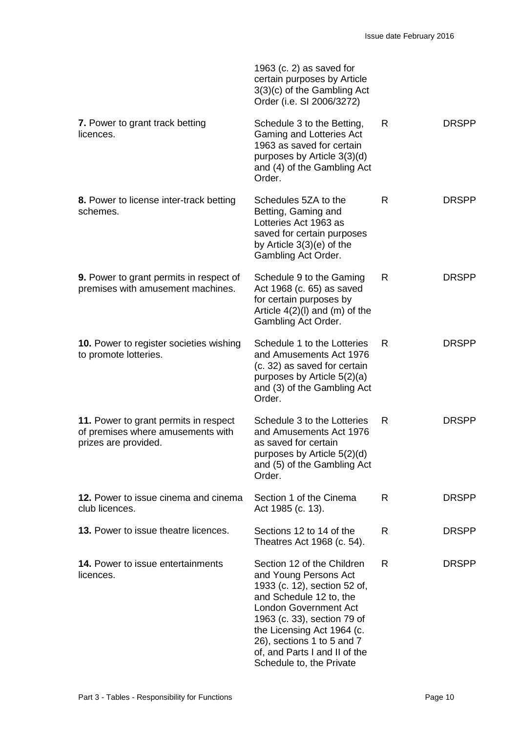|                                                                                                    | 1963 (c. $2$ ) as saved for<br>certain purposes by Article<br>3(3)(c) of the Gambling Act<br>Order (i.e. SI 2006/3272)                                                                                                                                                                                 |   |              |
|----------------------------------------------------------------------------------------------------|--------------------------------------------------------------------------------------------------------------------------------------------------------------------------------------------------------------------------------------------------------------------------------------------------------|---|--------------|
| 7. Power to grant track betting<br>licences.                                                       | Schedule 3 to the Betting,<br>Gaming and Lotteries Act<br>1963 as saved for certain<br>purposes by Article 3(3)(d)<br>and (4) of the Gambling Act<br>Order.                                                                                                                                            | R | <b>DRSPP</b> |
| 8. Power to license inter-track betting<br>schemes.                                                | Schedules 5ZA to the<br>Betting, Gaming and<br>Lotteries Act 1963 as<br>saved for certain purposes<br>by Article $3(3)(e)$ of the<br>Gambling Act Order.                                                                                                                                               | R | <b>DRSPP</b> |
| <b>9.</b> Power to grant permits in respect of<br>premises with amusement machines.                | Schedule 9 to the Gaming<br>Act 1968 (c. 65) as saved<br>for certain purposes by<br>Article $4(2)(I)$ and $(m)$ of the<br>Gambling Act Order.                                                                                                                                                          | R | <b>DRSPP</b> |
| 10. Power to register societies wishing<br>to promote lotteries.                                   | Schedule 1 to the Lotteries<br>and Amusements Act 1976<br>(c. 32) as saved for certain<br>purposes by Article 5(2)(a)<br>and (3) of the Gambling Act<br>Order.                                                                                                                                         | R | <b>DRSPP</b> |
| 11. Power to grant permits in respect<br>of premises where amusements with<br>prizes are provided. | Schedule 3 to the Lotteries<br>and Amusements Act 1976<br>as saved for certain<br>purposes by Article 5(2)(d)<br>and (5) of the Gambling Act<br>Order.                                                                                                                                                 | R | <b>DRSPP</b> |
| 12. Power to issue cinema and cinema<br>club licences.                                             | Section 1 of the Cinema<br>Act 1985 (c. 13).                                                                                                                                                                                                                                                           | R | <b>DRSPP</b> |
| 13. Power to issue theatre licences.                                                               | Sections 12 to 14 of the<br>Theatres Act 1968 (c. 54).                                                                                                                                                                                                                                                 | R | <b>DRSPP</b> |
| <b>14. Power to issue entertainments</b><br>licences.                                              | Section 12 of the Children<br>and Young Persons Act<br>1933 (c. 12), section 52 of,<br>and Schedule 12 to, the<br><b>London Government Act</b><br>1963 (c. 33), section 79 of<br>the Licensing Act 1964 (c.<br>26), sections 1 to 5 and 7<br>of, and Parts I and II of the<br>Schedule to, the Private | R | <b>DRSPP</b> |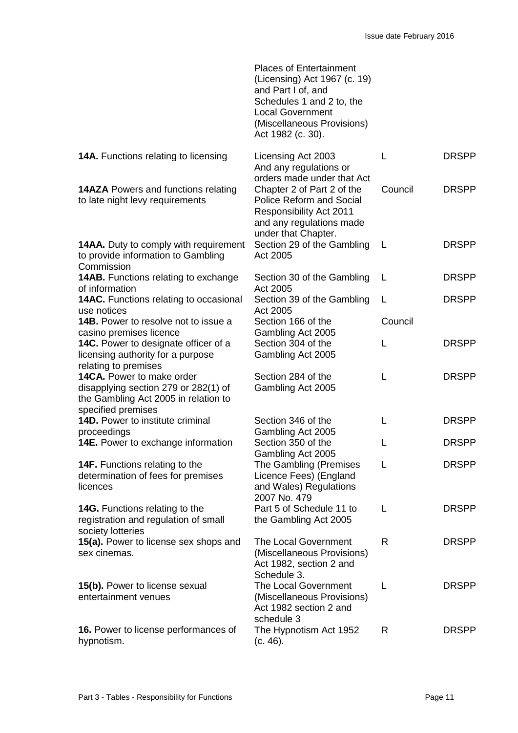|                                                                                                                                 | <b>Places of Entertainment</b><br>(Licensing) Act 1967 (c. 19)<br>and Part I of, and<br>Schedules 1 and 2 to, the<br><b>Local Government</b><br>(Miscellaneous Provisions)<br>Act 1982 (c. 30). |         |              |
|---------------------------------------------------------------------------------------------------------------------------------|-------------------------------------------------------------------------------------------------------------------------------------------------------------------------------------------------|---------|--------------|
| 14A. Functions relating to licensing                                                                                            | Licensing Act 2003<br>And any regulations or<br>orders made under that Act                                                                                                                      | L       | <b>DRSPP</b> |
| <b>14AZA</b> Powers and functions relating<br>to late night levy requirements                                                   | Chapter 2 of Part 2 of the<br><b>Police Reform and Social</b><br><b>Responsibility Act 2011</b><br>and any regulations made<br>under that Chapter.                                              | Council | <b>DRSPP</b> |
| <b>14AA.</b> Duty to comply with requirement<br>to provide information to Gambling<br>Commission                                | Section 29 of the Gambling<br>Act 2005                                                                                                                                                          | L       | <b>DRSPP</b> |
| <b>14AB.</b> Functions relating to exchange<br>of information                                                                   | Section 30 of the Gambling<br>Act 2005                                                                                                                                                          | L       | <b>DRSPP</b> |
| <b>14AC.</b> Functions relating to occasional<br>use notices                                                                    | Section 39 of the Gambling<br>Act 2005                                                                                                                                                          | L       | <b>DRSPP</b> |
| <b>14B.</b> Power to resolve not to issue a<br>casino premises licence                                                          | Section 166 of the<br>Gambling Act 2005                                                                                                                                                         | Council |              |
| <b>14C.</b> Power to designate officer of a<br>licensing authority for a purpose<br>relating to premises                        | Section 304 of the<br>Gambling Act 2005                                                                                                                                                         | L       | <b>DRSPP</b> |
| 14CA. Power to make order<br>disapplying section 279 or 282(1) of<br>the Gambling Act 2005 in relation to<br>specified premises | Section 284 of the<br>Gambling Act 2005                                                                                                                                                         | L       | <b>DRSPP</b> |
| 14D. Power to institute criminal<br>proceedings                                                                                 | Section 346 of the<br>Gambling Act 2005                                                                                                                                                         | L       | <b>DRSPP</b> |
| <b>14E.</b> Power to exchange information                                                                                       | Section 350 of the<br>Gambling Act 2005                                                                                                                                                         | L       | <b>DRSPP</b> |
| <b>14F.</b> Functions relating to the<br>determination of fees for premises<br>licences                                         | The Gambling (Premises<br>Licence Fees) (England<br>and Wales) Regulations<br>2007 No. 479                                                                                                      | L       | <b>DRSPP</b> |
| 14G. Functions relating to the<br>registration and regulation of small<br>society lotteries                                     | Part 5 of Schedule 11 to<br>the Gambling Act 2005                                                                                                                                               | L       | <b>DRSPP</b> |
| 15(a). Power to license sex shops and<br>sex cinemas.                                                                           | <b>The Local Government</b><br>(Miscellaneous Provisions)<br>Act 1982, section 2 and<br>Schedule 3.                                                                                             | R       | <b>DRSPP</b> |
| 15(b). Power to license sexual<br>entertainment venues                                                                          | The Local Government<br>(Miscellaneous Provisions)<br>Act 1982 section 2 and<br>schedule 3                                                                                                      | L       | <b>DRSPP</b> |
| 16. Power to license performances of<br>hypnotism.                                                                              | The Hypnotism Act 1952<br>(c. 46).                                                                                                                                                              | R.      | <b>DRSPP</b> |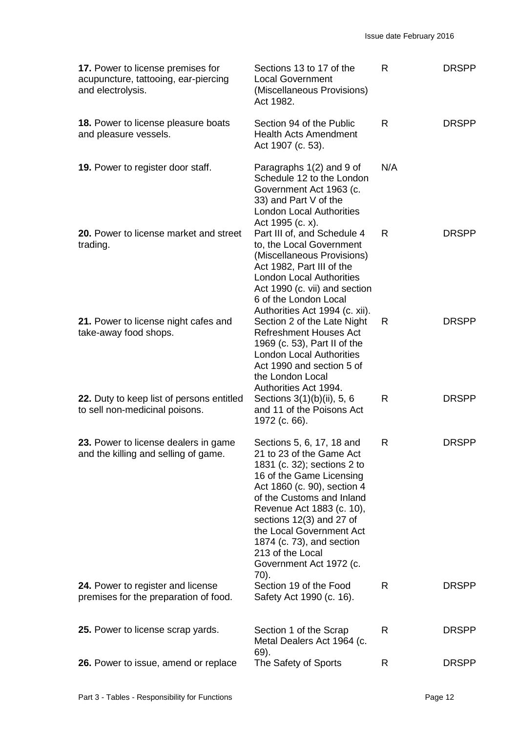| 17. Power to license premises for<br>acupuncture, tattooing, ear-piercing<br>and electrolysis. | Sections 13 to 17 of the<br><b>Local Government</b><br>(Miscellaneous Provisions)<br>Act 1982.                                                                                                                                                                                                                                                        | R   | <b>DRSPP</b> |
|------------------------------------------------------------------------------------------------|-------------------------------------------------------------------------------------------------------------------------------------------------------------------------------------------------------------------------------------------------------------------------------------------------------------------------------------------------------|-----|--------------|
| 18. Power to license pleasure boats<br>and pleasure vessels.                                   | Section 94 of the Public<br><b>Health Acts Amendment</b><br>Act 1907 (c. 53).                                                                                                                                                                                                                                                                         | R   | <b>DRSPP</b> |
| 19. Power to register door staff.                                                              | Paragraphs 1(2) and 9 of<br>Schedule 12 to the London<br>Government Act 1963 (c.<br>33) and Part V of the<br><b>London Local Authorities</b><br>Act 1995 (c. x).                                                                                                                                                                                      | N/A |              |
| 20. Power to license market and street<br>trading.                                             | Part III of, and Schedule 4<br>to, the Local Government<br>(Miscellaneous Provisions)<br>Act 1982, Part III of the<br><b>London Local Authorities</b><br>Act 1990 (c. vii) and section<br>6 of the London Local<br>Authorities Act 1994 (c. xii).                                                                                                     | R   | <b>DRSPP</b> |
| 21. Power to license night cafes and<br>take-away food shops.                                  | Section 2 of the Late Night<br><b>Refreshment Houses Act</b><br>1969 (c. 53), Part II of the<br><b>London Local Authorities</b><br>Act 1990 and section 5 of<br>the London Local<br>Authorities Act 1994.                                                                                                                                             | R   | <b>DRSPP</b> |
| 22. Duty to keep list of persons entitled<br>to sell non-medicinal poisons.                    | Sections 3(1)(b)(ii), 5, 6<br>and 11 of the Poisons Act<br>1972 (c. 66).                                                                                                                                                                                                                                                                              | R   | <b>DRSPP</b> |
| 23. Power to license dealers in game<br>and the killing and selling of game.                   | Sections 5, 6, 17, 18 and<br>21 to 23 of the Game Act<br>1831 (c. 32); sections 2 to<br>16 of the Game Licensing<br>Act 1860 (c. 90), section 4<br>of the Customs and Inland<br>Revenue Act 1883 (c. 10),<br>sections 12(3) and 27 of<br>the Local Government Act<br>1874 (c. 73), and section<br>213 of the Local<br>Government Act 1972 (c.<br>70). | R   | <b>DRSPP</b> |
| 24. Power to register and license<br>premises for the preparation of food.                     | Section 19 of the Food<br>Safety Act 1990 (c. 16).                                                                                                                                                                                                                                                                                                    | R   | <b>DRSPP</b> |
| 25. Power to license scrap yards.                                                              | Section 1 of the Scrap<br>Metal Dealers Act 1964 (c.<br>69).                                                                                                                                                                                                                                                                                          | R   | <b>DRSPP</b> |
| 26. Power to issue, amend or replace                                                           | The Safety of Sports                                                                                                                                                                                                                                                                                                                                  | R   | <b>DRSPP</b> |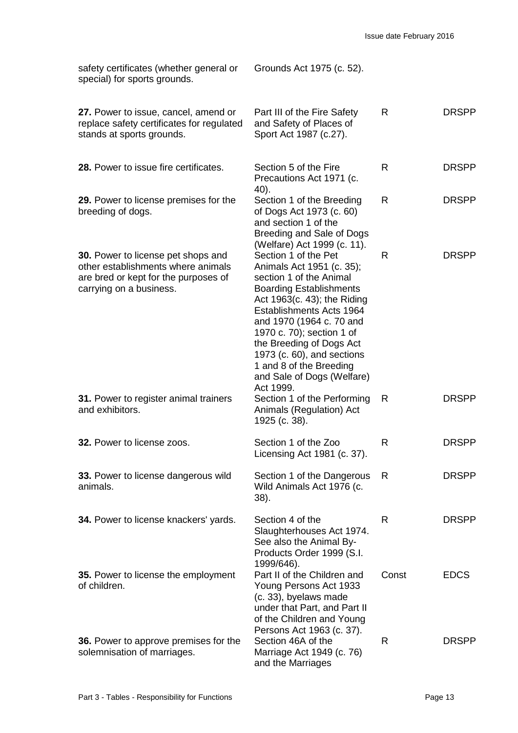| safety certificates (whether general or<br>special) for sports grounds.                                                                            | Grounds Act 1975 (c. 52).                                                                                                                                                                                                                                                                                                                                          |       |              |
|----------------------------------------------------------------------------------------------------------------------------------------------------|--------------------------------------------------------------------------------------------------------------------------------------------------------------------------------------------------------------------------------------------------------------------------------------------------------------------------------------------------------------------|-------|--------------|
| 27. Power to issue, cancel, amend or<br>replace safety certificates for regulated<br>stands at sports grounds.                                     | Part III of the Fire Safety<br>and Safety of Places of<br>Sport Act 1987 (c.27).                                                                                                                                                                                                                                                                                   | R     | <b>DRSPP</b> |
| 28. Power to issue fire certificates.                                                                                                              | Section 5 of the Fire<br>Precautions Act 1971 (c.<br>40).                                                                                                                                                                                                                                                                                                          | R     | <b>DRSPP</b> |
| 29. Power to license premises for the<br>breeding of dogs.                                                                                         | Section 1 of the Breeding<br>of Dogs Act 1973 (c. 60)<br>and section 1 of the<br>Breeding and Sale of Dogs<br>(Welfare) Act 1999 (c. 11).                                                                                                                                                                                                                          | R     | <b>DRSPP</b> |
| <b>30.</b> Power to license pet shops and<br>other establishments where animals<br>are bred or kept for the purposes of<br>carrying on a business. | Section 1 of the Pet<br>Animals Act 1951 (c. 35);<br>section 1 of the Animal<br><b>Boarding Establishments</b><br>Act 1963(c. 43); the Riding<br>Establishments Acts 1964<br>and 1970 (1964 c. 70 and<br>1970 c. 70); section 1 of<br>the Breeding of Dogs Act<br>1973 (c. 60), and sections<br>1 and 8 of the Breeding<br>and Sale of Dogs (Welfare)<br>Act 1999. | R     | <b>DRSPP</b> |
| 31. Power to register animal trainers<br>and exhibitors.                                                                                           | Section 1 of the Performing<br>Animals (Regulation) Act<br>1925 (c. 38).                                                                                                                                                                                                                                                                                           | R     | <b>DRSPP</b> |
| 32. Power to license zoos.                                                                                                                         | Section 1 of the Zoo<br>Licensing Act 1981 (c. 37).                                                                                                                                                                                                                                                                                                                | R     | <b>DRSPP</b> |
| 33. Power to license dangerous wild<br>animals.                                                                                                    | Section 1 of the Dangerous<br>Wild Animals Act 1976 (c.<br>$38$ ).                                                                                                                                                                                                                                                                                                 | R     | <b>DRSPP</b> |
| 34. Power to license knackers' yards.                                                                                                              | Section 4 of the<br>Slaughterhouses Act 1974.<br>See also the Animal By-<br>Products Order 1999 (S.I.<br>1999/646).                                                                                                                                                                                                                                                | R     | <b>DRSPP</b> |
| 35. Power to license the employment<br>of children.                                                                                                | Part II of the Children and<br>Young Persons Act 1933<br>(c. 33), byelaws made<br>under that Part, and Part II<br>of the Children and Young                                                                                                                                                                                                                        | Const | <b>EDCS</b>  |
| 36. Power to approve premises for the<br>solemnisation of marriages.                                                                               | Persons Act 1963 (c. 37).<br>Section 46A of the<br>Marriage Act 1949 (c. 76)<br>and the Marriages                                                                                                                                                                                                                                                                  | R     | <b>DRSPP</b> |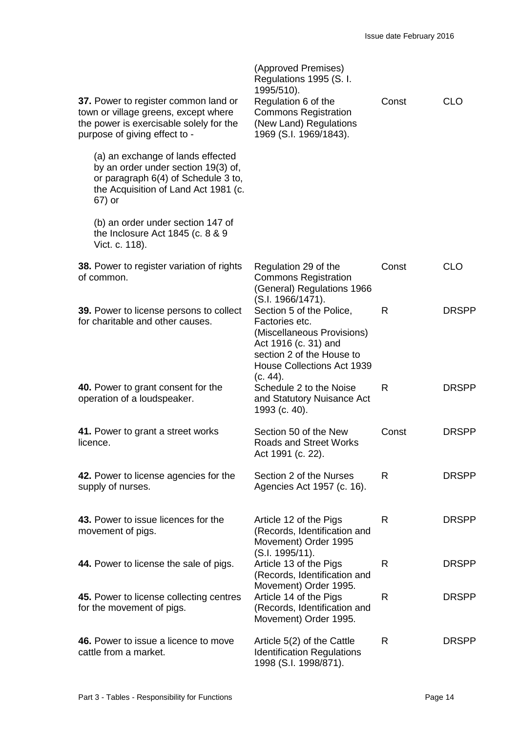| 37. Power to register common land or<br>town or village greens, except where<br>the power is exercisable solely for the<br>purpose of giving effect to -          | (Approved Premises)<br>Regulations 1995 (S. I.<br>1995/510).<br>Regulation 6 of the<br><b>Commons Registration</b><br>(New Land) Regulations<br>1969 (S.I. 1969/1843).         | Const | <b>CLO</b>   |
|-------------------------------------------------------------------------------------------------------------------------------------------------------------------|--------------------------------------------------------------------------------------------------------------------------------------------------------------------------------|-------|--------------|
| (a) an exchange of lands effected<br>by an order under section 19(3) of,<br>or paragraph 6(4) of Schedule 3 to,<br>the Acquisition of Land Act 1981 (c.<br>67) or |                                                                                                                                                                                |       |              |
| (b) an order under section 147 of<br>the Inclosure Act 1845 (c. 8 & 9<br>Vict. c. 118).                                                                           |                                                                                                                                                                                |       |              |
| 38. Power to register variation of rights<br>of common.                                                                                                           | Regulation 29 of the<br><b>Commons Registration</b><br>(General) Regulations 1966<br>(S.I. 1966/1471).                                                                         | Const | <b>CLO</b>   |
| <b>39.</b> Power to license persons to collect<br>for charitable and other causes.                                                                                | Section 5 of the Police,<br>Factories etc.<br>(Miscellaneous Provisions)<br>Act 1916 (c. 31) and<br>section 2 of the House to<br><b>House Collections Act 1939</b><br>(c. 44). | R     | <b>DRSPP</b> |
| 40. Power to grant consent for the<br>operation of a loudspeaker.                                                                                                 | Schedule 2 to the Noise<br>and Statutory Nuisance Act<br>1993 (c. 40).                                                                                                         | R     | <b>DRSPP</b> |
| 41. Power to grant a street works<br>licence.                                                                                                                     | Section 50 of the New<br><b>Roads and Street Works</b><br>Act 1991 (c. 22).                                                                                                    | Const | <b>DRSPP</b> |
| 42. Power to license agencies for the<br>supply of nurses.                                                                                                        | Section 2 of the Nurses<br>Agencies Act 1957 (c. 16).                                                                                                                          | R     | <b>DRSPP</b> |
| 43. Power to issue licences for the<br>movement of pigs.                                                                                                          | Article 12 of the Pigs<br>(Records, Identification and<br>Movement) Order 1995                                                                                                 | R     | <b>DRSPP</b> |
| 44. Power to license the sale of pigs.                                                                                                                            | (S.I. 1995/11).<br>Article 13 of the Pigs<br>(Records, Identification and                                                                                                      | R     | <b>DRSPP</b> |
| 45. Power to license collecting centres<br>for the movement of pigs.                                                                                              | Movement) Order 1995.<br>Article 14 of the Pigs<br>(Records, Identification and<br>Movement) Order 1995.                                                                       | R     | <b>DRSPP</b> |
| 46. Power to issue a licence to move<br>cattle from a market.                                                                                                     | Article 5(2) of the Cattle<br><b>Identification Regulations</b><br>1998 (S.I. 1998/871).                                                                                       | R     | <b>DRSPP</b> |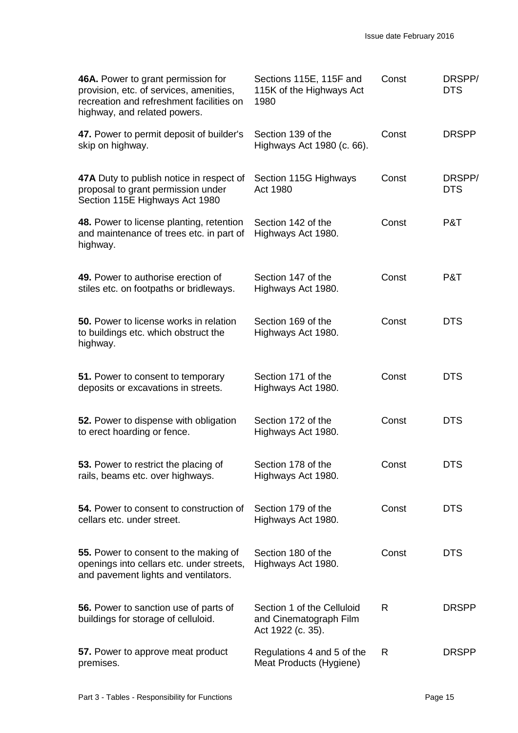| 46A. Power to grant permission for<br>provision, etc. of services, amenities,<br>recreation and refreshment facilities on<br>highway, and related powers. | Sections 115E, 115F and<br>115K of the Highways Act<br>1980               | Const | DRSPP/<br><b>DTS</b> |
|-----------------------------------------------------------------------------------------------------------------------------------------------------------|---------------------------------------------------------------------------|-------|----------------------|
| 47. Power to permit deposit of builder's<br>skip on highway.                                                                                              | Section 139 of the<br>Highways Act 1980 (c. 66).                          | Const | <b>DRSPP</b>         |
| 47A Duty to publish notice in respect of<br>proposal to grant permission under<br>Section 115E Highways Act 1980                                          | Section 115G Highways<br>Act 1980                                         | Const | DRSPP/<br><b>DTS</b> |
| 48. Power to license planting, retention<br>and maintenance of trees etc. in part of<br>highway.                                                          | Section 142 of the<br>Highways Act 1980.                                  | Const | P&T                  |
| 49. Power to authorise erection of<br>stiles etc. on footpaths or bridleways.                                                                             | Section 147 of the<br>Highways Act 1980.                                  | Const | P&T                  |
| <b>50.</b> Power to license works in relation<br>to buildings etc. which obstruct the<br>highway.                                                         | Section 169 of the<br>Highways Act 1980.                                  | Const | <b>DTS</b>           |
| 51. Power to consent to temporary<br>deposits or excavations in streets.                                                                                  | Section 171 of the<br>Highways Act 1980.                                  | Const | <b>DTS</b>           |
| 52. Power to dispense with obligation<br>to erect hoarding or fence.                                                                                      | Section 172 of the<br>Highways Act 1980.                                  | Const | <b>DTS</b>           |
| 53. Power to restrict the placing of<br>rails, beams etc. over highways.                                                                                  | Section 178 of the<br>Highways Act 1980.                                  | Const | <b>DTS</b>           |
| 54. Power to consent to construction of<br>cellars etc. under street.                                                                                     | Section 179 of the<br>Highways Act 1980.                                  | Const | <b>DTS</b>           |
| 55. Power to consent to the making of<br>openings into cellars etc. under streets,<br>and pavement lights and ventilators.                                | Section 180 of the<br>Highways Act 1980.                                  | Const | <b>DTS</b>           |
| 56. Power to sanction use of parts of<br>buildings for storage of celluloid.                                                                              | Section 1 of the Celluloid<br>and Cinematograph Film<br>Act 1922 (c. 35). | R     | <b>DRSPP</b>         |
| 57. Power to approve meat product<br>premises.                                                                                                            | Regulations 4 and 5 of the<br>Meat Products (Hygiene)                     | R     | <b>DRSPP</b>         |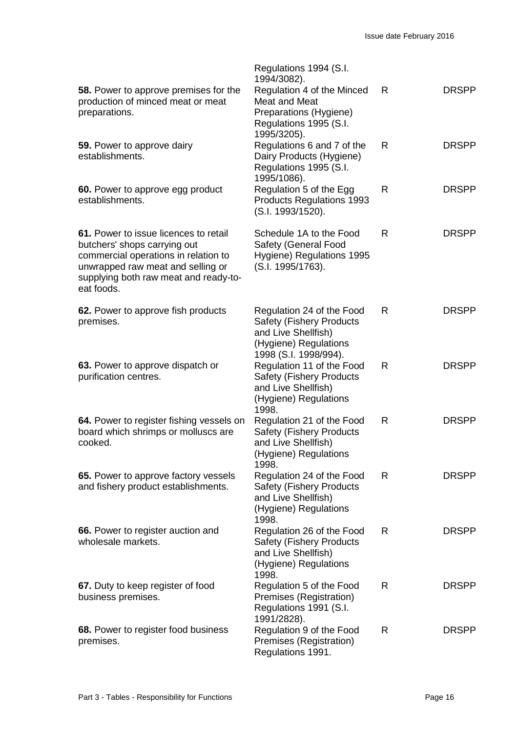| 58. Power to approve premises for the<br>production of minced meat or meat<br>preparations.                                                                                                               | Regulations 1994 (S.I.<br>1994/3082).<br>Regulation 4 of the Minced<br>Meat and Meat<br>Preparations (Hygiene)<br>Regulations 1995 (S.I.<br>1995/3205). | R | <b>DRSPP</b> |
|-----------------------------------------------------------------------------------------------------------------------------------------------------------------------------------------------------------|---------------------------------------------------------------------------------------------------------------------------------------------------------|---|--------------|
| 59. Power to approve dairy<br>establishments.                                                                                                                                                             | Regulations 6 and 7 of the<br>Dairy Products (Hygiene)<br>Regulations 1995 (S.I.<br>1995/1086).                                                         | R | <b>DRSPP</b> |
| 60. Power to approve egg product<br>establishments.                                                                                                                                                       | Regulation 5 of the Egg<br><b>Products Regulations 1993</b><br>(S.I. 1993/1520).                                                                        | R | <b>DRSPP</b> |
| 61. Power to issue licences to retail<br>butchers' shops carrying out<br>commercial operations in relation to<br>unwrapped raw meat and selling or<br>supplying both raw meat and ready-to-<br>eat foods. | Schedule 1A to the Food<br>Safety (General Food<br>Hygiene) Regulations 1995<br>(S.I. 1995/1763).                                                       | R | <b>DRSPP</b> |
| 62. Power to approve fish products<br>premises.                                                                                                                                                           | Regulation 24 of the Food<br><b>Safety (Fishery Products</b><br>and Live Shellfish)<br>(Hygiene) Regulations<br>1998 (S.I. 1998/994).                   | R | <b>DRSPP</b> |
| 63. Power to approve dispatch or<br>purification centres.                                                                                                                                                 | Regulation 11 of the Food<br><b>Safety (Fishery Products</b><br>and Live Shellfish)<br>(Hygiene) Regulations<br>1998.                                   | R | <b>DRSPP</b> |
| 64. Power to register fishing vessels on<br>board which shrimps or molluscs are<br>cooked.                                                                                                                | Regulation 21 of the Food<br><b>Safety (Fishery Products</b><br>and Live Shellfish)<br>(Hygiene) Regulations<br>1998.                                   | R | <b>DRSPP</b> |
| 65. Power to approve factory vessels<br>and fishery product establishments.                                                                                                                               | Regulation 24 of the Food<br><b>Safety (Fishery Products)</b><br>and Live Shellfish)<br>(Hygiene) Regulations<br>1998.                                  | R | <b>DRSPP</b> |
| 66. Power to register auction and<br>wholesale markets.                                                                                                                                                   | Regulation 26 of the Food<br><b>Safety (Fishery Products</b><br>and Live Shellfish)<br>(Hygiene) Regulations<br>1998.                                   | R | <b>DRSPP</b> |
| 67. Duty to keep register of food<br>business premises.                                                                                                                                                   | Regulation 5 of the Food<br>Premises (Registration)<br>Regulations 1991 (S.I.<br>1991/2828).                                                            | R | <b>DRSPP</b> |
| 68. Power to register food business<br>premises.                                                                                                                                                          | Regulation 9 of the Food<br>Premises (Registration)<br>Regulations 1991.                                                                                | R | <b>DRSPP</b> |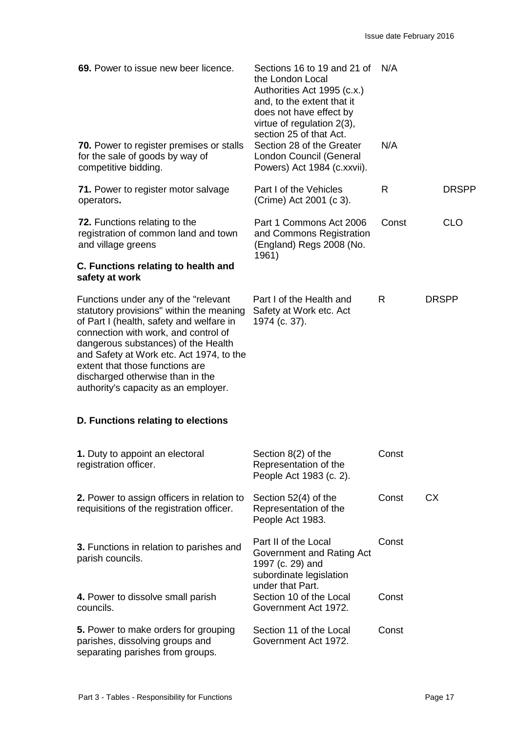| 69. Power to issue new beer licence.<br><b>70.</b> Power to register premises or stalls<br>for the sale of goods by way of<br>competitive bidding.                                                                                                                                                                                                                     | Sections 16 to 19 and 21 of N/A<br>the London Local<br>Authorities Act 1995 (c.x.)<br>and, to the extent that it<br>does not have effect by<br>virtue of regulation 2(3),<br>section 25 of that Act.<br>Section 28 of the Greater<br>London Council (General<br>Powers) Act 1984 (c.xxvii). | N/A   |              |
|------------------------------------------------------------------------------------------------------------------------------------------------------------------------------------------------------------------------------------------------------------------------------------------------------------------------------------------------------------------------|---------------------------------------------------------------------------------------------------------------------------------------------------------------------------------------------------------------------------------------------------------------------------------------------|-------|--------------|
| <b>71.</b> Power to register motor salvage<br>operators.                                                                                                                                                                                                                                                                                                               | Part I of the Vehicles<br>(Crime) Act 2001 (c 3).                                                                                                                                                                                                                                           | R     | <b>DRSPP</b> |
| 72. Functions relating to the<br>registration of common land and town<br>and village greens                                                                                                                                                                                                                                                                            | Part 1 Commons Act 2006<br>and Commons Registration<br>(England) Regs 2008 (No.<br>1961)                                                                                                                                                                                                    | Const | <b>CLO</b>   |
| C. Functions relating to health and<br>safety at work                                                                                                                                                                                                                                                                                                                  |                                                                                                                                                                                                                                                                                             |       |              |
| Functions under any of the "relevant<br>statutory provisions" within the meaning<br>of Part I (health, safety and welfare in<br>connection with work, and control of<br>dangerous substances) of the Health<br>and Safety at Work etc. Act 1974, to the<br>extent that those functions are<br>discharged otherwise than in the<br>authority's capacity as an employer. | Part I of the Health and<br>Safety at Work etc. Act<br>1974 (c. 37).                                                                                                                                                                                                                        | R.    | <b>DRSPP</b> |
| D. Functions relating to elections                                                                                                                                                                                                                                                                                                                                     |                                                                                                                                                                                                                                                                                             |       |              |
| 1. Duty to appoint an electoral<br>registration officer.                                                                                                                                                                                                                                                                                                               | Section 8(2) of the<br>Representation of the<br>People Act 1983 (c. 2).                                                                                                                                                                                                                     | Const |              |
| 2. Power to assign officers in relation to<br>requisitions of the registration officer.                                                                                                                                                                                                                                                                                | Section 52(4) of the<br>Representation of the<br>People Act 1983.                                                                                                                                                                                                                           | Const | <b>CX</b>    |
| 3. Functions in relation to parishes and<br>parish councils.                                                                                                                                                                                                                                                                                                           | Part II of the Local<br>Government and Rating Act<br>1997 (c. 29) and<br>subordinate legislation<br>under that Part.                                                                                                                                                                        | Const |              |
| 4. Power to dissolve small parish<br>councils.                                                                                                                                                                                                                                                                                                                         | Section 10 of the Local<br>Government Act 1972.                                                                                                                                                                                                                                             | Const |              |
| 5. Power to make orders for grouping<br>parishes, dissolving groups and<br>separating parishes from groups.                                                                                                                                                                                                                                                            | Section 11 of the Local<br>Government Act 1972.                                                                                                                                                                                                                                             | Const |              |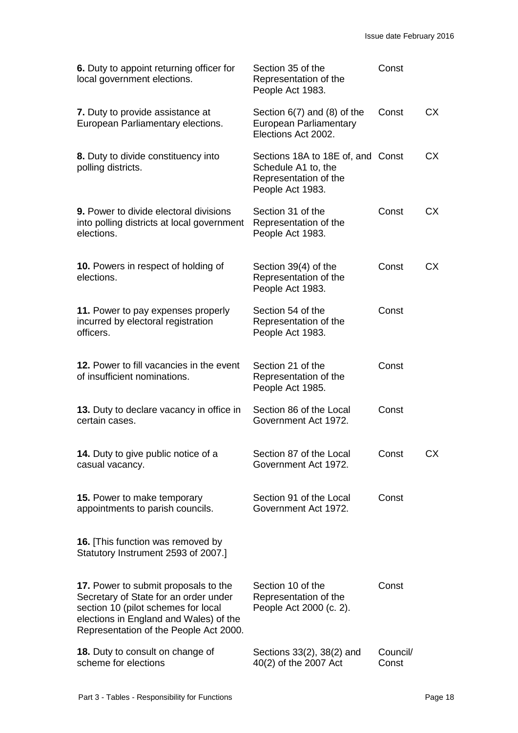| 6. Duty to appoint returning officer for<br>local government elections.                                                                                                                                  | Section 35 of the<br>Representation of the<br>People Act 1983.                                        | Const             |           |
|----------------------------------------------------------------------------------------------------------------------------------------------------------------------------------------------------------|-------------------------------------------------------------------------------------------------------|-------------------|-----------|
| 7. Duty to provide assistance at<br>European Parliamentary elections.                                                                                                                                    | Section $6(7)$ and $(8)$ of the<br>European Parliamentary<br>Elections Act 2002.                      | Const             | <b>CX</b> |
| 8. Duty to divide constituency into<br>polling districts.                                                                                                                                                | Sections 18A to 18E of, and Const<br>Schedule A1 to, the<br>Representation of the<br>People Act 1983. |                   | СX        |
| <b>9.</b> Power to divide electoral divisions<br>into polling districts at local government<br>elections.                                                                                                | Section 31 of the<br>Representation of the<br>People Act 1983.                                        | Const             | СX        |
| <b>10.</b> Powers in respect of holding of<br>elections.                                                                                                                                                 | Section 39(4) of the<br>Representation of the<br>People Act 1983.                                     | Const             | <b>CX</b> |
| 11. Power to pay expenses properly<br>incurred by electoral registration<br>officers.                                                                                                                    | Section 54 of the<br>Representation of the<br>People Act 1983.                                        | Const             |           |
| 12. Power to fill vacancies in the event<br>of insufficient nominations.                                                                                                                                 | Section 21 of the<br>Representation of the<br>People Act 1985.                                        | Const             |           |
| 13. Duty to declare vacancy in office in<br>certain cases.                                                                                                                                               | Section 86 of the Local<br>Government Act 1972.                                                       | Const             |           |
| 14. Duty to give public notice of a<br>casual vacancy.                                                                                                                                                   | Section 87 of the Local<br>Government Act 1972.                                                       | Const             | <b>CX</b> |
| 15. Power to make temporary<br>appointments to parish councils.                                                                                                                                          | Section 91 of the Local<br>Government Act 1972.                                                       | Const             |           |
| <b>16.</b> [This function was removed by<br>Statutory Instrument 2593 of 2007.]                                                                                                                          |                                                                                                       |                   |           |
| 17. Power to submit proposals to the<br>Secretary of State for an order under<br>section 10 (pilot schemes for local<br>elections in England and Wales) of the<br>Representation of the People Act 2000. | Section 10 of the<br>Representation of the<br>People Act 2000 (c. 2).                                 | Const             |           |
| 18. Duty to consult on change of<br>scheme for elections                                                                                                                                                 | Sections 33(2), 38(2) and<br>40(2) of the 2007 Act                                                    | Council/<br>Const |           |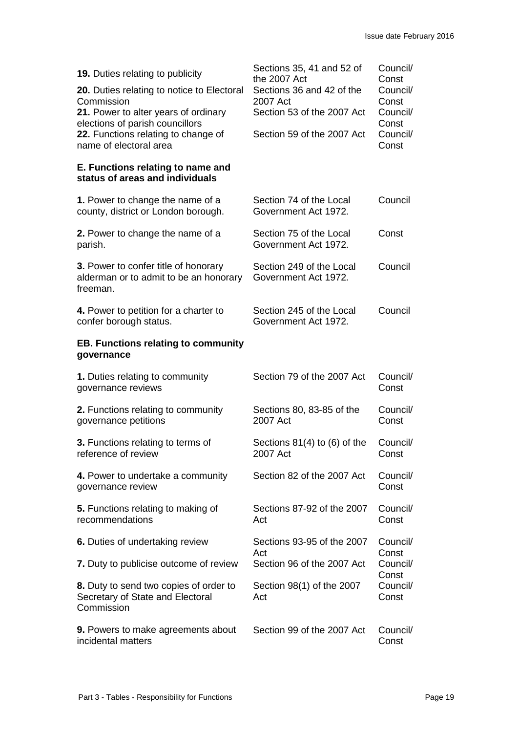| <b>19.</b> Duties relating to publicity<br>20. Duties relating to notice to Electoral<br>Commission                                      | Sections 35, 41 and 52 of<br>the 2007 Act<br>Sections 36 and 42 of the<br>2007 Act | Council/<br>Const<br>Council/<br>Const |
|------------------------------------------------------------------------------------------------------------------------------------------|------------------------------------------------------------------------------------|----------------------------------------|
| 21. Power to alter years of ordinary<br>elections of parish councillors<br>22. Functions relating to change of<br>name of electoral area | Section 53 of the 2007 Act<br>Section 59 of the 2007 Act                           | Council/<br>Const<br>Council/<br>Const |
| E. Functions relating to name and<br>status of areas and individuals                                                                     |                                                                                    |                                        |
| 1. Power to change the name of a<br>county, district or London borough.                                                                  | Section 74 of the Local<br>Government Act 1972.                                    | Council                                |
| 2. Power to change the name of a<br>parish.                                                                                              | Section 75 of the Local<br>Government Act 1972.                                    | Const                                  |
| 3. Power to confer title of honorary<br>alderman or to admit to be an honorary<br>freeman.                                               | Section 249 of the Local<br>Government Act 1972.                                   | Council                                |
| 4. Power to petition for a charter to<br>confer borough status.                                                                          | Section 245 of the Local<br>Government Act 1972.                                   | Council                                |
| <b>EB. Functions relating to community</b><br>governance                                                                                 |                                                                                    |                                        |
| 1. Duties relating to community<br>governance reviews                                                                                    | Section 79 of the 2007 Act                                                         | Council/<br>Const                      |
| 2. Functions relating to community<br>governance petitions                                                                               | Sections 80, 83-85 of the<br>2007 Act                                              | Council/<br>Const                      |
| 3. Functions relating to terms of<br>reference of review                                                                                 | Sections $81(4)$ to $(6)$ of the<br>2007 Act                                       | Council/<br>Const                      |
| 4. Power to undertake a community<br>governance review                                                                                   | Section 82 of the 2007 Act                                                         | Council/<br>Const                      |
| 5. Functions relating to making of<br>recommendations                                                                                    | Sections 87-92 of the 2007<br>Act                                                  | Council/<br>Const                      |
| 6. Duties of undertaking review                                                                                                          | Sections 93-95 of the 2007                                                         | Council/                               |
| 7. Duty to publicise outcome of review                                                                                                   | Act<br>Section 96 of the 2007 Act                                                  | Const<br>Council/                      |
| 8. Duty to send two copies of order to<br>Secretary of State and Electoral<br>Commission                                                 | Section 98(1) of the 2007<br>Act                                                   | Const<br>Council/<br>Const             |
| 9. Powers to make agreements about<br>incidental matters                                                                                 | Section 99 of the 2007 Act                                                         | Council/<br>Const                      |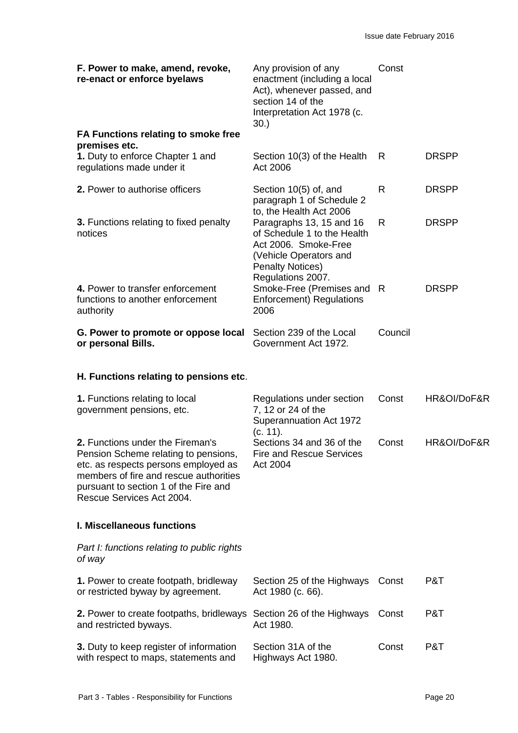| F. Power to make, amend, revoke,<br>re-enact or enforce byelaws                   | Any provision of any<br>enactment (including a local<br>Act), whenever passed, and<br>section 14 of the<br>Interpretation Act 1978 (c.<br>30.             | Const   |              |
|-----------------------------------------------------------------------------------|-----------------------------------------------------------------------------------------------------------------------------------------------------------|---------|--------------|
| FA Functions relating to smoke free<br>premises etc.                              |                                                                                                                                                           |         |              |
| 1. Duty to enforce Chapter 1 and<br>regulations made under it                     | Section 10(3) of the Health<br>Act 2006                                                                                                                   | R       | <b>DRSPP</b> |
| 2. Power to authorise officers                                                    | Section 10(5) of, and<br>paragraph 1 of Schedule 2<br>to, the Health Act 2006                                                                             | R       | <b>DRSPP</b> |
| 3. Functions relating to fixed penalty<br>notices                                 | Paragraphs 13, 15 and 16<br>of Schedule 1 to the Health<br>Act 2006. Smoke-Free<br>(Vehicle Operators and<br><b>Penalty Notices)</b><br>Regulations 2007. | R       | <b>DRSPP</b> |
| 4. Power to transfer enforcement<br>functions to another enforcement<br>authority | Smoke-Free (Premises and<br><b>Enforcement) Regulations</b><br>2006                                                                                       | R.      | <b>DRSPP</b> |
| G. Power to promote or oppose local<br>or personal Bills.                         | Section 239 of the Local<br>Government Act 1972.                                                                                                          | Council |              |
|                                                                                   |                                                                                                                                                           |         |              |

## **H. Functions relating to pensions etc**.

| 1. Functions relating to local<br>government pensions, etc.                                                                                                                                                                      | Regulations under section<br>7, 12 or 24 of the<br>Superannuation Act 1972<br>(c. 11). | Const | HR&OI/DoF&R |
|----------------------------------------------------------------------------------------------------------------------------------------------------------------------------------------------------------------------------------|----------------------------------------------------------------------------------------|-------|-------------|
| 2. Functions under the Fireman's<br>Pension Scheme relating to pensions,<br>etc. as respects persons employed as<br>members of fire and rescue authorities<br>pursuant to section 1 of the Fire and<br>Rescue Services Act 2004. | Sections 34 and 36 of the<br><b>Fire and Rescue Services</b><br>Act 2004               | Const | HR&OI/DoF&R |
| <b>I. Miscellaneous functions</b>                                                                                                                                                                                                |                                                                                        |       |             |
| Part I: functions relating to public rights<br>of way                                                                                                                                                                            |                                                                                        |       |             |
| 1. Power to create footpath, bridleway<br>or restricted byway by agreement.                                                                                                                                                      | Section 25 of the Highways<br>Act 1980 (c. 66).                                        | Const | P&T         |
| 2. Power to create footpaths, bridleways<br>and restricted byways.                                                                                                                                                               | Section 26 of the Highways<br>Act 1980.                                                | Const | P&T         |
| 3. Duty to keep register of information<br>with respect to maps, statements and                                                                                                                                                  | Section 31A of the<br>Highways Act 1980.                                               | Const | P&T         |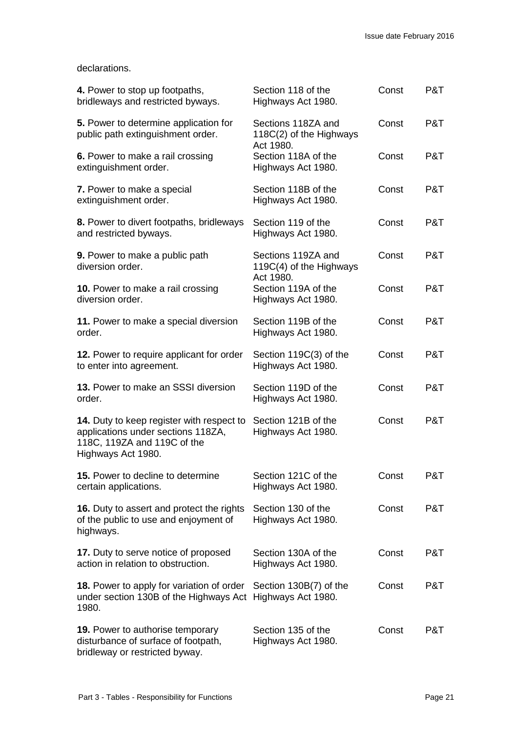#### declarations.

| 4. Power to stop up footpaths,<br>bridleways and restricted byways.                                                                  | Section 118 of the<br>Highways Act 1980.                   | Const | P&T |
|--------------------------------------------------------------------------------------------------------------------------------------|------------------------------------------------------------|-------|-----|
| 5. Power to determine application for<br>public path extinguishment order.                                                           | Sections 118ZA and<br>118C(2) of the Highways<br>Act 1980. | Const | P&T |
| 6. Power to make a rail crossing<br>extinguishment order.                                                                            | Section 118A of the<br>Highways Act 1980.                  | Const | P&T |
| 7. Power to make a special<br>extinguishment order.                                                                                  | Section 118B of the<br>Highways Act 1980.                  | Const | P&T |
| 8. Power to divert footpaths, bridleways<br>and restricted byways.                                                                   | Section 119 of the<br>Highways Act 1980.                   | Const | P&T |
| 9. Power to make a public path<br>diversion order.                                                                                   | Sections 119ZA and<br>119C(4) of the Highways              | Const | P&T |
| 10. Power to make a rail crossing<br>diversion order.                                                                                | Act 1980.<br>Section 119A of the<br>Highways Act 1980.     | Const | P&T |
| 11. Power to make a special diversion<br>order.                                                                                      | Section 119B of the<br>Highways Act 1980.                  | Const | P&T |
| 12. Power to require applicant for order<br>to enter into agreement.                                                                 | Section 119C(3) of the<br>Highways Act 1980.               | Const | P&T |
| 13. Power to make an SSSI diversion<br>order.                                                                                        | Section 119D of the<br>Highways Act 1980.                  | Const | P&T |
| 14. Duty to keep register with respect to<br>applications under sections 118ZA,<br>118C, 119ZA and 119C of the<br>Highways Act 1980. | Section 121B of the<br>Highways Act 1980.                  | Const | P&T |
| 15. Power to decline to determine<br>certain applications.                                                                           | Section 121C of the<br>Highways Act 1980.                  | Const | P&T |
| <b>16.</b> Duty to assert and protect the rights<br>of the public to use and enjoyment of<br>highways.                               | Section 130 of the<br>Highways Act 1980.                   | Const | P&T |
| 17. Duty to serve notice of proposed<br>action in relation to obstruction.                                                           | Section 130A of the<br>Highways Act 1980.                  | Const | P&T |
| <b>18.</b> Power to apply for variation of order<br>under section 130B of the Highways Act Highways Act 1980.<br>1980.               | Section 130B(7) of the                                     | Const | P&T |
| <b>19.</b> Power to authorise temporary<br>disturbance of surface of footpath,<br>bridleway or restricted byway.                     | Section 135 of the<br>Highways Act 1980.                   | Const | P&T |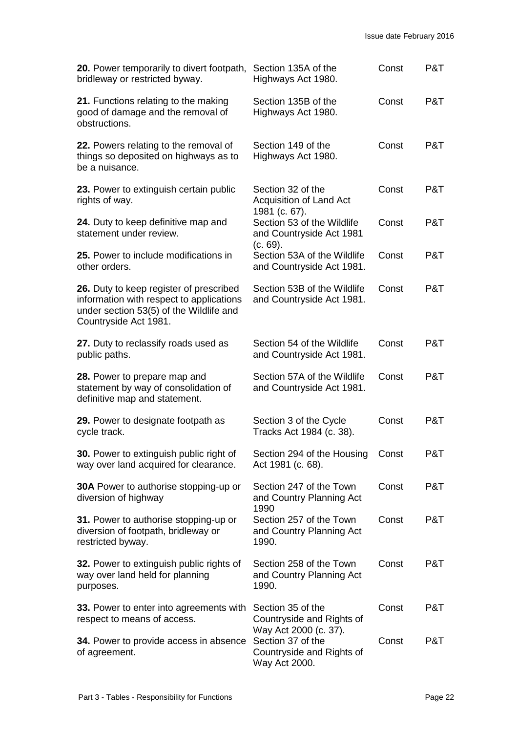| 20. Power temporarily to divert footpath,<br>bridleway or restricted byway.                                                                             | Section 135A of the<br>Highways Act 1980.                               | Const | P&T |
|---------------------------------------------------------------------------------------------------------------------------------------------------------|-------------------------------------------------------------------------|-------|-----|
| 21. Functions relating to the making<br>good of damage and the removal of<br>obstructions.                                                              | Section 135B of the<br>Highways Act 1980.                               | Const | P&T |
| 22. Powers relating to the removal of<br>things so deposited on highways as to<br>be a nuisance.                                                        | Section 149 of the<br>Highways Act 1980.                                | Const | P&T |
| 23. Power to extinguish certain public<br>rights of way.                                                                                                | Section 32 of the<br>Acquisition of Land Act<br>1981 (c. 67).           | Const | P&T |
| 24. Duty to keep definitive map and<br>statement under review.                                                                                          | Section 53 of the Wildlife<br>and Countryside Act 1981                  | Const | P&T |
| 25. Power to include modifications in<br>other orders.                                                                                                  | (c. 69).<br>Section 53A of the Wildlife<br>and Countryside Act 1981.    | Const | P&T |
| 26. Duty to keep register of prescribed<br>information with respect to applications<br>under section 53(5) of the Wildlife and<br>Countryside Act 1981. | Section 53B of the Wildlife<br>and Countryside Act 1981.                | Const | P&T |
| 27. Duty to reclassify roads used as<br>public paths.                                                                                                   | Section 54 of the Wildlife<br>and Countryside Act 1981.                 | Const | P&T |
| 28. Power to prepare map and<br>statement by way of consolidation of<br>definitive map and statement.                                                   | Section 57A of the Wildlife<br>and Countryside Act 1981.                | Const | P&T |
| 29. Power to designate footpath as<br>cycle track.                                                                                                      | Section 3 of the Cycle<br>Tracks Act 1984 (c. 38).                      | Const | P&T |
| 30. Power to extinguish public right of<br>way over land acquired for clearance.                                                                        | Section 294 of the Housing<br>Act 1981 (c. 68).                         | Const | P&T |
| <b>30A</b> Power to authorise stopping-up or<br>diversion of highway                                                                                    | Section 247 of the Town<br>and Country Planning Act                     | Const | P&T |
| 31. Power to authorise stopping-up or<br>diversion of footpath, bridleway or<br>restricted byway.                                                       | 1990<br>Section 257 of the Town<br>and Country Planning Act<br>1990.    | Const | P&T |
| 32. Power to extinguish public rights of<br>way over land held for planning<br>purposes.                                                                | Section 258 of the Town<br>and Country Planning Act<br>1990.            | Const | P&T |
| 33. Power to enter into agreements with<br>respect to means of access.                                                                                  | Section 35 of the<br>Countryside and Rights of<br>Way Act 2000 (c. 37). | Const | P&T |
| <b>34.</b> Power to provide access in absence<br>of agreement.                                                                                          | Section 37 of the<br>Countryside and Rights of<br>Way Act 2000.         | Const | P&T |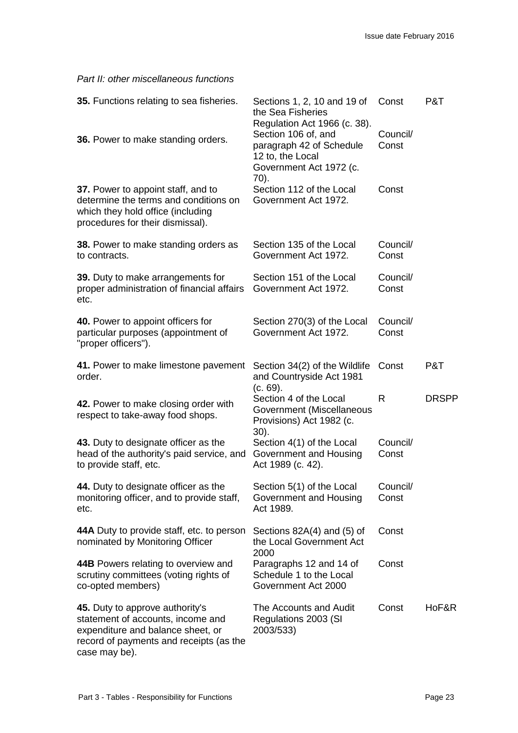*Part II: other miscellaneous functions*

| 35. Functions relating to sea fisheries.                                                                                                                              | Sections 1, 2, 10 and 19 of<br>the Sea Fisheries                                                                                       | Const             | P&T          |
|-----------------------------------------------------------------------------------------------------------------------------------------------------------------------|----------------------------------------------------------------------------------------------------------------------------------------|-------------------|--------------|
| 36. Power to make standing orders.                                                                                                                                    | Regulation Act 1966 (c. 38).<br>Section 106 of, and<br>paragraph 42 of Schedule<br>12 to, the Local<br>Government Act 1972 (c.<br>70). | Council/<br>Const |              |
| 37. Power to appoint staff, and to<br>determine the terms and conditions on<br>which they hold office (including<br>procedures for their dismissal).                  | Section 112 of the Local<br>Government Act 1972.                                                                                       | Const             |              |
| <b>38.</b> Power to make standing orders as<br>to contracts.                                                                                                          | Section 135 of the Local<br>Government Act 1972.                                                                                       | Council/<br>Const |              |
| 39. Duty to make arrangements for<br>proper administration of financial affairs<br>etc.                                                                               | Section 151 of the Local<br>Government Act 1972.                                                                                       | Council/<br>Const |              |
| 40. Power to appoint officers for<br>particular purposes (appointment of<br>"proper officers").                                                                       | Section 270(3) of the Local<br>Government Act 1972.                                                                                    | Council/<br>Const |              |
| 41. Power to make limestone pavement<br>order.                                                                                                                        | Section 34(2) of the Wildlife<br>and Countryside Act 1981<br>(c. 69).                                                                  | Const             | P&T          |
| 42. Power to make closing order with<br>respect to take-away food shops.                                                                                              | Section 4 of the Local<br>Government (Miscellaneous<br>Provisions) Act 1982 (c.<br>$30$ ).                                             | $\mathsf{R}$      | <b>DRSPP</b> |
| 43. Duty to designate officer as the<br>head of the authority's paid service, and<br>to provide staff, etc.                                                           | Section 4(1) of the Local<br>Government and Housing<br>Act 1989 (c. 42).                                                               | Council/<br>Const |              |
| 44. Duty to designate officer as the<br>monitoring officer, and to provide staff,<br>etc.                                                                             | Section 5(1) of the Local<br>Government and Housing<br>Act 1989.                                                                       | Council/<br>Const |              |
| 44A Duty to provide staff, etc. to person<br>nominated by Monitoring Officer                                                                                          | Sections 82A(4) and (5) of<br>the Local Government Act<br>2000                                                                         | Const             |              |
| 44B Powers relating to overview and<br>scrutiny committees (voting rights of<br>co-opted members)                                                                     | Paragraphs 12 and 14 of<br>Schedule 1 to the Local<br>Government Act 2000                                                              | Const             |              |
| 45. Duty to approve authority's<br>statement of accounts, income and<br>expenditure and balance sheet, or<br>record of payments and receipts (as the<br>case may be). | The Accounts and Audit<br>Regulations 2003 (SI<br>2003/533)                                                                            | Const             | HoF&R        |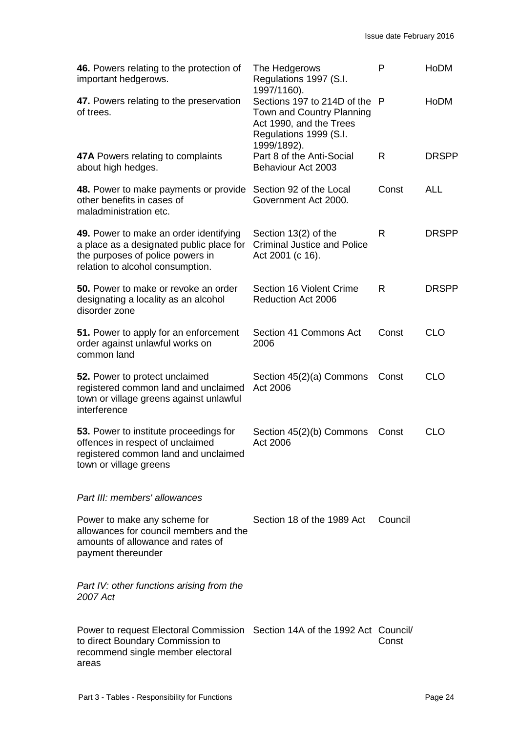| 46. Powers relating to the protection of<br>important hedgerows.                                                                                             | The Hedgerows<br>Regulations 1997 (S.I.                                                                                                     | P            | <b>HoDM</b>  |
|--------------------------------------------------------------------------------------------------------------------------------------------------------------|---------------------------------------------------------------------------------------------------------------------------------------------|--------------|--------------|
| 47. Powers relating to the preservation<br>of trees.                                                                                                         | 1997/1160).<br>Sections 197 to 214D of the<br>Town and Country Planning<br>Act 1990, and the Trees<br>Regulations 1999 (S.I.<br>1999/1892). | - P          | HoDM         |
| <b>47A</b> Powers relating to complaints<br>about high hedges.                                                                                               | Part 8 of the Anti-Social<br>Behaviour Act 2003                                                                                             | $\mathsf{R}$ | <b>DRSPP</b> |
| 48. Power to make payments or provide<br>other benefits in cases of<br>maladministration etc.                                                                | Section 92 of the Local<br>Government Act 2000.                                                                                             | Const        | <b>ALL</b>   |
| 49. Power to make an order identifying<br>a place as a designated public place for<br>the purposes of police powers in<br>relation to alcohol consumption.   | Section 13(2) of the<br><b>Criminal Justice and Police</b><br>Act 2001 (c 16).                                                              | R            | <b>DRSPP</b> |
| <b>50.</b> Power to make or revoke an order<br>designating a locality as an alcohol<br>disorder zone                                                         | Section 16 Violent Crime<br>Reduction Act 2006                                                                                              | R            | <b>DRSPP</b> |
| 51. Power to apply for an enforcement<br>order against unlawful works on<br>common land                                                                      | Section 41 Commons Act<br>2006                                                                                                              | Const        | <b>CLO</b>   |
| 52. Power to protect unclaimed<br>registered common land and unclaimed<br>town or village greens against unlawful<br>interference                            | Section 45(2)(a) Commons<br>Act 2006                                                                                                        | Const        | <b>CLO</b>   |
| 53. Power to institute proceedings for<br>offences in respect of unclaimed<br>registered common land and unclaimed<br>town or village greens                 | Section 45(2)(b) Commons<br>Act 2006                                                                                                        | Const        | <b>CLO</b>   |
| Part III: members' allowances                                                                                                                                |                                                                                                                                             |              |              |
| Power to make any scheme for<br>allowances for council members and the<br>amounts of allowance and rates of<br>payment thereunder                            | Section 18 of the 1989 Act                                                                                                                  | Council      |              |
| Part IV: other functions arising from the<br>2007 Act                                                                                                        |                                                                                                                                             |              |              |
| Power to request Electoral Commission Section 14A of the 1992 Act Council/<br>to direct Boundary Commission to<br>recommend single member electoral<br>areas |                                                                                                                                             | Const        |              |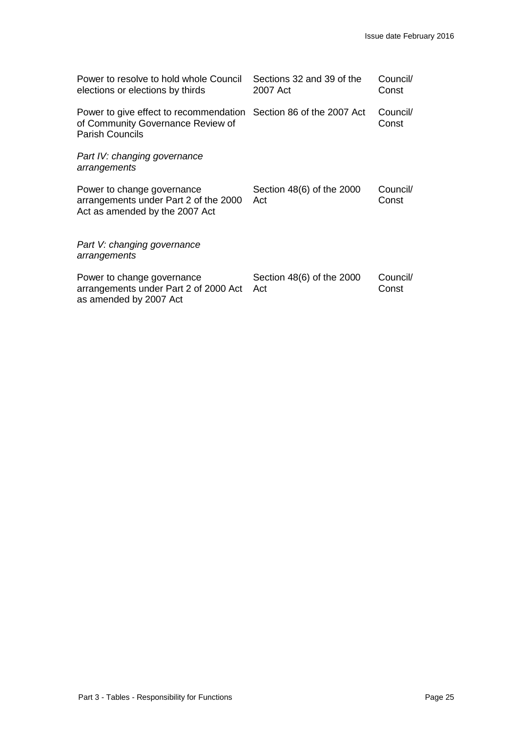| Power to resolve to hold whole Council<br>elections or elections by thirds                                                       | Sections 32 and 39 of the<br>2007 Act | Council/<br>Const |
|----------------------------------------------------------------------------------------------------------------------------------|---------------------------------------|-------------------|
| Power to give effect to recommendation Section 86 of the 2007 Act<br>of Community Governance Review of<br><b>Parish Councils</b> |                                       | Council/<br>Const |
| Part IV: changing governance<br>arrangements                                                                                     |                                       |                   |
| Power to change governance<br>arrangements under Part 2 of the 2000<br>Act as amended by the 2007 Act                            | Section 48(6) of the 2000<br>Act      | Council/<br>Const |
| Part V: changing governance<br>arrangements                                                                                      |                                       |                   |
| Power to change governance<br>arrangements under Part 2 of 2000 Act<br>as amended by 2007 Act                                    | Section 48(6) of the 2000<br>Act      | Council/<br>Const |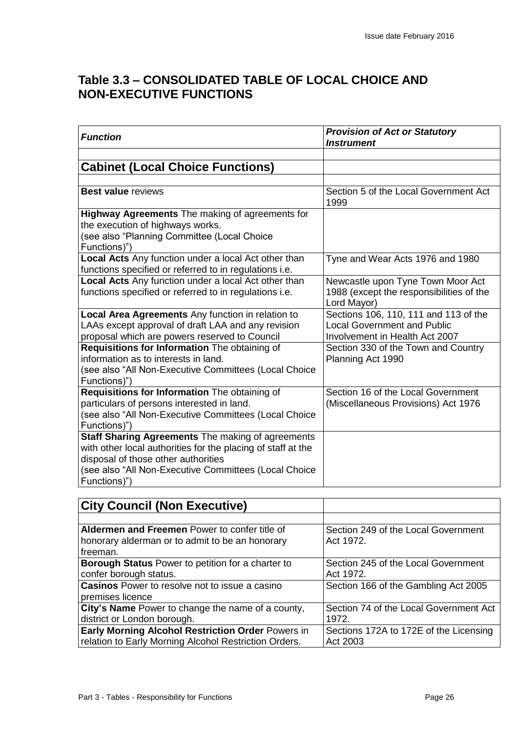## **Table 3.3 – CONSOLIDATED TABLE OF LOCAL CHOICE AND NON-EXECUTIVE FUNCTIONS**

| <b>Function</b>                                              | <b>Provision of Act or Statutory</b><br><b>Instrument</b> |
|--------------------------------------------------------------|-----------------------------------------------------------|
|                                                              |                                                           |
| <b>Cabinet (Local Choice Functions)</b>                      |                                                           |
|                                                              |                                                           |
| <b>Best value reviews</b>                                    | Section 5 of the Local Government Act<br>1999             |
| <b>Highway Agreements</b> The making of agreements for       |                                                           |
| the execution of highways works.                             |                                                           |
| (see also "Planning Committee (Local Choice                  |                                                           |
| Functions)")                                                 |                                                           |
| <b>Local Acts</b> Any function under a local Act other than  | Tyne and Wear Acts 1976 and 1980                          |
| functions specified or referred to in regulations i.e.       |                                                           |
| Local Acts Any function under a local Act other than         | Newcastle upon Tyne Town Moor Act                         |
| functions specified or referred to in regulations i.e.       | 1988 (except the responsibilities of the<br>Lord Mayor)   |
| <b>Local Area Agreements</b> Any function in relation to     | Sections 106, 110, 111 and 113 of the                     |
| LAAs except approval of draft LAA and any revision           | <b>Local Government and Public</b>                        |
| proposal which are powers reserved to Council                | Involvement in Health Act 2007                            |
| Requisitions for Information The obtaining of                | Section 330 of the Town and Country                       |
| information as to interests in land.                         | Planning Act 1990                                         |
| (see also "All Non-Executive Committees (Local Choice        |                                                           |
| Functions)")                                                 |                                                           |
| Requisitions for Information The obtaining of                | Section 16 of the Local Government                        |
| particulars of persons interested in land.                   | (Miscellaneous Provisions) Act 1976                       |
| (see also "All Non-Executive Committees (Local Choice        |                                                           |
| Functions)")                                                 |                                                           |
| Staff Sharing Agreements The making of agreements            |                                                           |
| with other local authorities for the placing of staff at the |                                                           |
| disposal of those other authorities                          |                                                           |
| (see also "All Non-Executive Committees (Local Choice        |                                                           |
| Functions)")                                                 |                                                           |

| <b>City Council (Non Executive)</b>                      |                                        |
|----------------------------------------------------------|----------------------------------------|
|                                                          |                                        |
| Aldermen and Freemen Power to confer title of            | Section 249 of the Local Government    |
| honorary alderman or to admit to be an honorary          | Act 1972.                              |
| freeman.                                                 |                                        |
| Borough Status Power to petition for a charter to        | Section 245 of the Local Government    |
| confer borough status.                                   | Act 1972.                              |
| <b>Casinos</b> Power to resolve not to issue a casino    | Section 166 of the Gambling Act 2005   |
| premises licence                                         |                                        |
| City's Name Power to change the name of a county,        | Section 74 of the Local Government Act |
| district or London borough.                              | 1972.                                  |
| <b>Early Morning Alcohol Restriction Order Powers in</b> | Sections 172A to 172E of the Licensing |
| relation to Early Morning Alcohol Restriction Orders.    | Act 2003                               |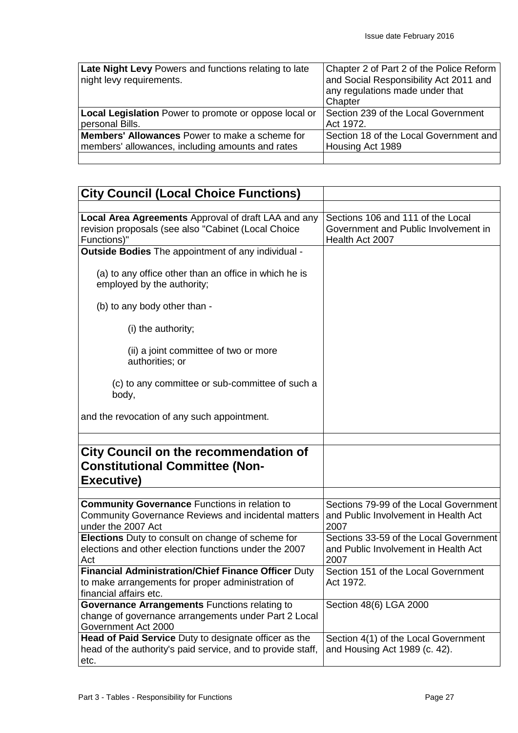| Late Night Levy Powers and functions relating to late | Chapter 2 of Part 2 of the Police Reform |
|-------------------------------------------------------|------------------------------------------|
| night levy requirements.                              | and Social Responsibility Act 2011 and   |
|                                                       | any regulations made under that          |
|                                                       | Chapter                                  |
| Local Legislation Power to promote or oppose local or | Section 239 of the Local Government      |
| personal Bills.                                       | Act 1972.                                |
| <b>Members' Allowances</b> Power to make a scheme for | Section 18 of the Local Government and   |
| members' allowances, including amounts and rates      | Housing Act 1989                         |
|                                                       |                                          |

| <b>City Council (Local Choice Functions)</b>                                                                                              |                                                                                              |
|-------------------------------------------------------------------------------------------------------------------------------------------|----------------------------------------------------------------------------------------------|
|                                                                                                                                           |                                                                                              |
| Local Area Agreements Approval of draft LAA and any<br>revision proposals (see also "Cabinet (Local Choice<br>Functions)"                 | Sections 106 and 111 of the Local<br>Government and Public Involvement in<br>Health Act 2007 |
| Outside Bodies The appointment of any individual -                                                                                        |                                                                                              |
| (a) to any office other than an office in which he is<br>employed by the authority;                                                       |                                                                                              |
| (b) to any body other than -                                                                                                              |                                                                                              |
| (i) the authority;                                                                                                                        |                                                                                              |
| (ii) a joint committee of two or more<br>authorities; or                                                                                  |                                                                                              |
| (c) to any committee or sub-committee of such a<br>body,                                                                                  |                                                                                              |
| and the revocation of any such appointment.                                                                                               |                                                                                              |
| <b>City Council on the recommendation of</b><br><b>Constitutional Committee (Non-</b><br>Executive)                                       |                                                                                              |
|                                                                                                                                           |                                                                                              |
| <b>Community Governance Functions in relation to</b><br>Community Governance Reviews and incidental matters<br>under the 2007 Act         | Sections 79-99 of the Local Government<br>and Public Involvement in Health Act<br>2007       |
| Elections Duty to consult on change of scheme for<br>elections and other election functions under the 2007<br>Act                         | Sections 33-59 of the Local Government<br>and Public Involvement in Health Act<br>2007       |
| <b>Financial Administration/Chief Finance Officer Duty</b><br>to make arrangements for proper administration of<br>financial affairs etc. | Section 151 of the Local Government<br>Act 1972.                                             |
| Governance Arrangements Functions relating to<br>change of governance arrangements under Part 2 Local<br>Government Act 2000              | Section 48(6) LGA 2000                                                                       |
| Head of Paid Service Duty to designate officer as the<br>head of the authority's paid service, and to provide staff,<br>etc.              | Section 4(1) of the Local Government<br>and Housing Act 1989 (c. 42).                        |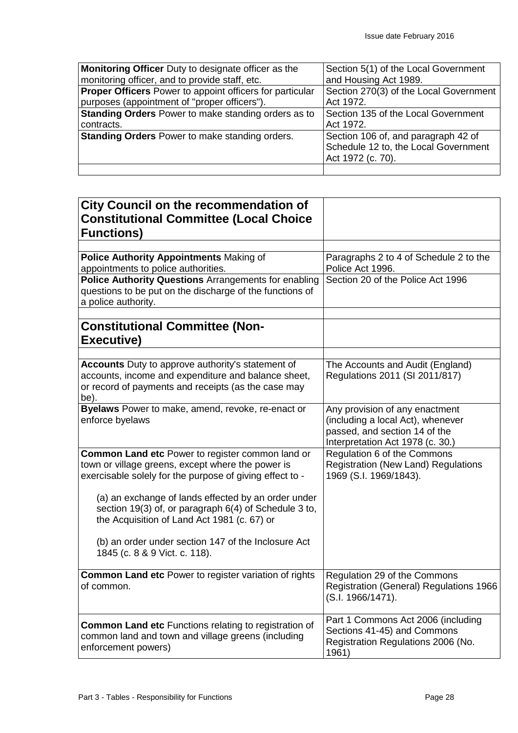| Monitoring Officer Duty to designate officer as the             | Section 5(1) of the Local Government   |
|-----------------------------------------------------------------|----------------------------------------|
| monitoring officer, and to provide staff, etc.                  | and Housing Act 1989.                  |
| <b>Proper Officers</b> Power to appoint officers for particular | Section 270(3) of the Local Government |
| purposes (appointment of "proper officers").                    | Act 1972.                              |
| <b>Standing Orders</b> Power to make standing orders as to      | Section 135 of the Local Government    |
| contracts.                                                      | Act 1972.                              |
| <b>Standing Orders</b> Power to make standing orders.           | Section 106 of, and paragraph 42 of    |
|                                                                 | Schedule 12 to, the Local Government   |
|                                                                 | Act 1972 (c. 70).                      |
|                                                                 |                                        |

| City Council on the recommendation of                                                                                                                                          |                                                                                                                                          |
|--------------------------------------------------------------------------------------------------------------------------------------------------------------------------------|------------------------------------------------------------------------------------------------------------------------------------------|
| <b>Constitutional Committee (Local Choice</b><br><b>Functions)</b>                                                                                                             |                                                                                                                                          |
|                                                                                                                                                                                |                                                                                                                                          |
| <b>Police Authority Appointments Making of</b><br>appointments to police authorities.                                                                                          | Paragraphs 2 to 4 of Schedule 2 to the<br>Police Act 1996.                                                                               |
| Police Authority Questions Arrangements for enabling<br>questions to be put on the discharge of the functions of<br>a police authority.                                        | Section 20 of the Police Act 1996                                                                                                        |
| <b>Constitutional Committee (Non-</b><br><b>Executive)</b>                                                                                                                     |                                                                                                                                          |
|                                                                                                                                                                                |                                                                                                                                          |
| <b>Accounts</b> Duty to approve authority's statement of<br>accounts, income and expenditure and balance sheet,<br>or record of payments and receipts (as the case may<br>be). | The Accounts and Audit (England)<br>Regulations 2011 (SI 2011/817)                                                                       |
| Byelaws Power to make, amend, revoke, re-enact or<br>enforce byelaws                                                                                                           | Any provision of any enactment<br>(including a local Act), whenever<br>passed, and section 14 of the<br>Interpretation Act 1978 (c. 30.) |
| <b>Common Land etc Power to register common land or</b><br>town or village greens, except where the power is<br>exercisable solely for the purpose of giving effect to -       | Regulation 6 of the Commons<br><b>Registration (New Land) Regulations</b><br>1969 (S.I. 1969/1843).                                      |
| (a) an exchange of lands effected by an order under<br>section 19(3) of, or paragraph 6(4) of Schedule 3 to,<br>the Acquisition of Land Act 1981 (c. 67) or                    |                                                                                                                                          |
| (b) an order under section 147 of the Inclosure Act<br>1845 (c. 8 & 9 Vict. c. 118).                                                                                           |                                                                                                                                          |
| <b>Common Land etc</b> Power to register variation of rights<br>of common.                                                                                                     | Regulation 29 of the Commons<br>Registration (General) Regulations 1966<br>(S.I. 1966/1471).                                             |
| <b>Common Land etc Functions relating to registration of</b><br>common land and town and village greens (including<br>enforcement powers)                                      | Part 1 Commons Act 2006 (including<br>Sections 41-45) and Commons<br>Registration Regulations 2006 (No.<br>1961)                         |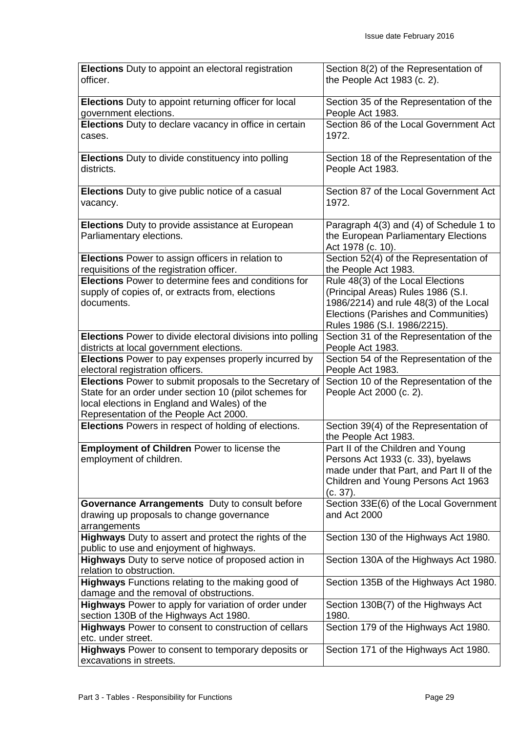| Elections Duty to appoint an electoral registration                                            | Section 8(2) of the Representation of                       |
|------------------------------------------------------------------------------------------------|-------------------------------------------------------------|
| officer.                                                                                       | the People Act 1983 (c. 2).                                 |
|                                                                                                |                                                             |
| Elections Duty to appoint returning officer for local                                          | Section 35 of the Representation of the                     |
| government elections.                                                                          | People Act 1983.                                            |
| Elections Duty to declare vacancy in office in certain                                         | Section 86 of the Local Government Act                      |
| cases.                                                                                         | 1972.                                                       |
|                                                                                                |                                                             |
| <b>Elections</b> Duty to divide constituency into polling                                      | Section 18 of the Representation of the                     |
| districts.                                                                                     | People Act 1983.                                            |
|                                                                                                |                                                             |
| Elections Duty to give public notice of a casual                                               | Section 87 of the Local Government Act                      |
| vacancy.                                                                                       | 1972.                                                       |
|                                                                                                |                                                             |
| <b>Elections</b> Duty to provide assistance at European                                        | Paragraph 4(3) and (4) of Schedule 1 to                     |
| Parliamentary elections.                                                                       | the European Parliamentary Elections                        |
|                                                                                                | Act 1978 (c. 10).<br>Section 52(4) of the Representation of |
| Elections Power to assign officers in relation to<br>requisitions of the registration officer. |                                                             |
| <b>Elections</b> Power to determine fees and conditions for                                    | the People Act 1983.<br>Rule 48(3) of the Local Elections   |
| supply of copies of, or extracts from, elections                                               | (Principal Areas) Rules 1986 (S.I.                          |
| documents.                                                                                     | 1986/2214) and rule 48(3) of the Local                      |
|                                                                                                | Elections (Parishes and Communities)                        |
|                                                                                                | Rules 1986 (S.I. 1986/2215).                                |
| Elections Power to divide electoral divisions into polling                                     | Section 31 of the Representation of the                     |
| districts at local government elections.                                                       | People Act 1983.                                            |
| <b>Elections</b> Power to pay expenses properly incurred by                                    | Section 54 of the Representation of the                     |
| electoral registration officers.                                                               | People Act 1983.                                            |
| Elections Power to submit proposals to the Secretary of                                        | Section 10 of the Representation of the                     |
| State for an order under section 10 (pilot schemes for                                         | People Act 2000 (c. 2).                                     |
| local elections in England and Wales) of the                                                   |                                                             |
| Representation of the People Act 2000.                                                         |                                                             |
| Elections Powers in respect of holding of elections.                                           | Section 39(4) of the Representation of                      |
|                                                                                                | the People Act 1983.                                        |
| <b>Employment of Children Power to license the</b>                                             | Part II of the Children and Young                           |
| employment of children.                                                                        | Persons Act 1933 (c. 33), byelaws                           |
|                                                                                                | made under that Part, and Part II of the                    |
|                                                                                                | Children and Young Persons Act 1963                         |
|                                                                                                | (c. 37).                                                    |
| Governance Arrangements Duty to consult before                                                 | Section 33E(6) of the Local Government                      |
| drawing up proposals to change governance                                                      | and Act 2000                                                |
| arrangements                                                                                   |                                                             |
| Highways Duty to assert and protect the rights of the                                          | Section 130 of the Highways Act 1980.                       |
| public to use and enjoyment of highways.                                                       |                                                             |
| <b>Highways</b> Duty to serve notice of proposed action in                                     | Section 130A of the Highways Act 1980.                      |
| relation to obstruction.                                                                       |                                                             |
| Highways Functions relating to the making good of                                              | Section 135B of the Highways Act 1980.                      |
| damage and the removal of obstructions.                                                        |                                                             |
| Highways Power to apply for variation of order under                                           | Section 130B(7) of the Highways Act<br>1980.                |
| section 130B of the Highways Act 1980.<br>Highways Power to consent to construction of cellars | Section 179 of the Highways Act 1980.                       |
| etc. under street.                                                                             |                                                             |
| <b>Highways</b> Power to consent to temporary deposits or                                      | Section 171 of the Highways Act 1980.                       |
| excavations in streets.                                                                        |                                                             |
|                                                                                                |                                                             |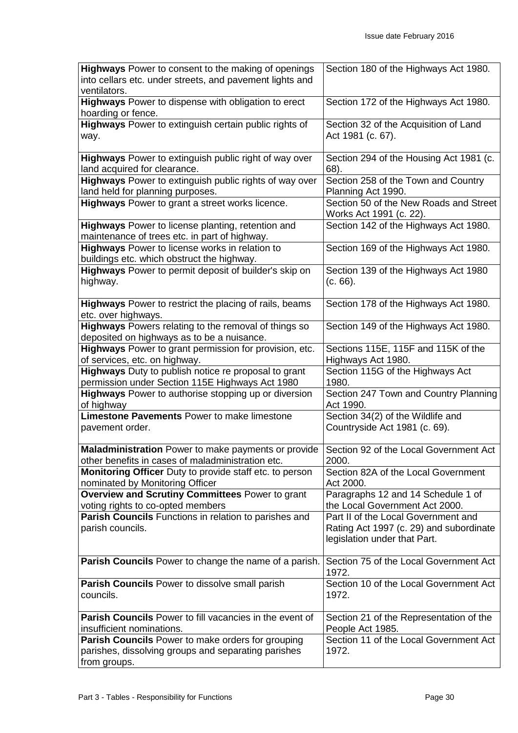| <b>Highways</b> Power to consent to the making of openings<br>into cellars etc. under streets, and pavement lights and | Section 180 of the Highways Act 1980.                                |
|------------------------------------------------------------------------------------------------------------------------|----------------------------------------------------------------------|
| ventilators.                                                                                                           |                                                                      |
| Highways Power to dispense with obligation to erect<br>hoarding or fence.                                              | Section 172 of the Highways Act 1980.                                |
| Highways Power to extinguish certain public rights of                                                                  | Section 32 of the Acquisition of Land                                |
| way.                                                                                                                   | Act 1981 (c. 67).                                                    |
| Highways Power to extinguish public right of way over                                                                  | Section 294 of the Housing Act 1981 (c.                              |
| land acquired for clearance.                                                                                           | 68).                                                                 |
| Highways Power to extinguish public rights of way over<br>land held for planning purposes.                             | Section 258 of the Town and Country<br>Planning Act 1990.            |
| Highways Power to grant a street works licence.                                                                        | Section 50 of the New Roads and Street                               |
|                                                                                                                        | Works Act 1991 (c. 22).                                              |
| <b>Highways</b> Power to license planting, retention and                                                               | Section 142 of the Highways Act 1980.                                |
| maintenance of trees etc. in part of highway.                                                                          |                                                                      |
| Highways Power to license works in relation to<br>buildings etc. which obstruct the highway.                           | Section 169 of the Highways Act 1980.                                |
| Highways Power to permit deposit of builder's skip on                                                                  | Section 139 of the Highways Act 1980                                 |
| highway.                                                                                                               | (c. 66).                                                             |
| <b>Highways</b> Power to restrict the placing of rails, beams<br>etc. over highways.                                   | Section 178 of the Highways Act 1980.                                |
| Highways Powers relating to the removal of things so                                                                   | Section 149 of the Highways Act 1980.                                |
| deposited on highways as to be a nuisance.                                                                             |                                                                      |
| Highways Power to grant permission for provision, etc.                                                                 | Sections 115E, 115F and 115K of the                                  |
| of services, etc. on highway.                                                                                          | Highways Act 1980.                                                   |
| <b>Highways</b> Duty to publish notice re proposal to grant<br>permission under Section 115E Highways Act 1980         | Section 115G of the Highways Act<br>1980.                            |
| Highways Power to authorise stopping up or diversion<br>of highway                                                     | Section 247 Town and Country Planning<br>Act 1990.                   |
| Limestone Pavements Power to make limestone                                                                            | Section 34(2) of the Wildlife and                                    |
| pavement order.                                                                                                        | Countryside Act 1981 (c. 69).                                        |
| Maladministration Power to make payments or provide   Section 92 of the Local Government Act                           |                                                                      |
| other benefits in cases of maladministration etc.                                                                      | 2000.                                                                |
| Monitoring Officer Duty to provide staff etc. to person                                                                | Section 82A of the Local Government                                  |
| nominated by Monitoring Officer                                                                                        | Act 2000.                                                            |
| Overview and Scrutiny Committees Power to grant<br>voting rights to co-opted members                                   | Paragraphs 12 and 14 Schedule 1 of<br>the Local Government Act 2000. |
| Parish Councils Functions in relation to parishes and                                                                  | Part II of the Local Government and                                  |
| parish councils.                                                                                                       | Rating Act 1997 (c. 29) and subordinate                              |
|                                                                                                                        | legislation under that Part.                                         |
| Parish Councils Power to change the name of a parish.                                                                  | Section 75 of the Local Government Act                               |
|                                                                                                                        | 1972.                                                                |
| Parish Councils Power to dissolve small parish                                                                         | Section 10 of the Local Government Act                               |
| councils.                                                                                                              | 1972.                                                                |
| Parish Councils Power to fill vacancies in the event of                                                                | Section 21 of the Representation of the                              |
| insufficient nominations.                                                                                              | People Act 1985.                                                     |
| Parish Councils Power to make orders for grouping                                                                      | Section 11 of the Local Government Act                               |
| parishes, dissolving groups and separating parishes                                                                    | 1972.                                                                |
| from groups.                                                                                                           |                                                                      |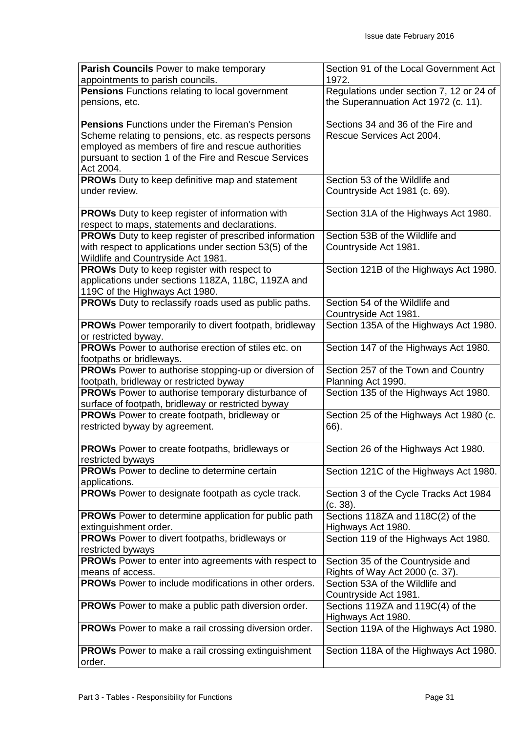| Parish Councils Power to make temporary                      | Section 91 of the Local Government Act   |
|--------------------------------------------------------------|------------------------------------------|
| appointments to parish councils.                             | 1972.                                    |
| <b>Pensions</b> Functions relating to local government       | Regulations under section 7, 12 or 24 of |
| pensions, etc.                                               | the Superannuation Act 1972 (c. 11).     |
| <b>Pensions</b> Functions under the Fireman's Pension        | Sections 34 and 36 of the Fire and       |
| Scheme relating to pensions, etc. as respects persons        | Rescue Services Act 2004.                |
| employed as members of fire and rescue authorities           |                                          |
| pursuant to section 1 of the Fire and Rescue Services        |                                          |
| Act 2004.                                                    |                                          |
| <b>PROWs</b> Duty to keep definitive map and statement       | Section 53 of the Wildlife and           |
| under review.                                                | Countryside Act 1981 (c. 69).            |
|                                                              |                                          |
| <b>PROWs</b> Duty to keep register of information with       | Section 31A of the Highways Act 1980.    |
| respect to maps, statements and declarations.                |                                          |
| <b>PROWs</b> Duty to keep register of prescribed information | Section 53B of the Wildlife and          |
| with respect to applications under section 53(5) of the      | Countryside Act 1981.                    |
| Wildlife and Countryside Act 1981.                           |                                          |
| <b>PROWs</b> Duty to keep register with respect to           | Section 121B of the Highways Act 1980.   |
| applications under sections 118ZA, 118C, 119ZA and           |                                          |
| 119C of the Highways Act 1980.                               |                                          |
| PROWs Duty to reclassify roads used as public paths.         | Section 54 of the Wildlife and           |
|                                                              | Countryside Act 1981.                    |
| <b>PROWs</b> Power temporarily to divert footpath, bridleway | Section 135A of the Highways Act 1980.   |
| or restricted byway.                                         |                                          |
| <b>PROWs</b> Power to authorise erection of stiles etc. on   | Section 147 of the Highways Act 1980.    |
| footpaths or bridleways.                                     |                                          |
| <b>PROWs</b> Power to authorise stopping-up or diversion of  | Section 257 of the Town and Country      |
| footpath, bridleway or restricted byway                      | Planning Act 1990.                       |
| <b>PROWs</b> Power to authorise temporary disturbance of     | Section 135 of the Highways Act 1980.    |
| surface of footpath, bridleway or restricted byway           |                                          |
| PROWs Power to create footpath, bridleway or                 | Section 25 of the Highways Act 1980 (c.  |
| restricted byway by agreement.                               | 66).                                     |
|                                                              |                                          |
| <b>PROWs</b> Power to create footpaths, bridleways or        | Section 26 of the Highways Act 1980.     |
| restricted byways                                            |                                          |
| <b>PROWs</b> Power to decline to determine certain           | Section 121C of the Highways Act 1980.   |
| applications.                                                |                                          |
| PROWs Power to designate footpath as cycle track.            | Section 3 of the Cycle Tracks Act 1984   |
|                                                              | (c. 38).                                 |
| <b>PROWs</b> Power to determine application for public path  | Sections 118ZA and 118C(2) of the        |
| extinguishment order.                                        | Highways Act 1980.                       |
| PROWs Power to divert footpaths, bridleways or               | Section 119 of the Highways Act 1980.    |
| restricted byways                                            |                                          |
| <b>PROWs</b> Power to enter into agreements with respect to  | Section 35 of the Countryside and        |
| means of access.                                             | Rights of Way Act 2000 (c. 37).          |
| <b>PROWs</b> Power to include modifications in other orders. | Section 53A of the Wildlife and          |
|                                                              | Countryside Act 1981.                    |
| <b>PROWs</b> Power to make a public path diversion order.    | Sections 119ZA and 119C(4) of the        |
|                                                              | Highways Act 1980.                       |
| <b>PROWs</b> Power to make a rail crossing diversion order.  | Section 119A of the Highways Act 1980.   |
| <b>PROWs</b> Power to make a rail crossing extinguishment    | Section 118A of the Highways Act 1980.   |
| order.                                                       |                                          |
|                                                              |                                          |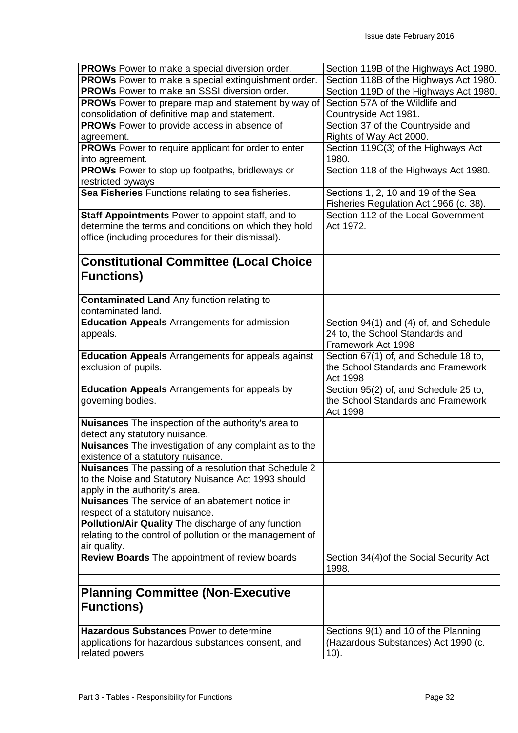| <b>PROWs</b> Power to make a special diversion order.                 | Section 119B of the Highways Act 1980.         |
|-----------------------------------------------------------------------|------------------------------------------------|
| PROWs Power to make a special extinguishment order.                   | Section 118B of the Highways Act 1980.         |
| <b>PROWs</b> Power to make an SSSI diversion order.                   | Section 119D of the Highways Act 1980.         |
| <b>PROWs</b> Power to prepare map and statement by way of             | Section 57A of the Wildlife and                |
| consolidation of definitive map and statement.                        | Countryside Act 1981.                          |
| <b>PROWs</b> Power to provide access in absence of                    | Section 37 of the Countryside and              |
| agreement.                                                            | Rights of Way Act 2000.                        |
| <b>PROWs</b> Power to require applicant for order to enter            | Section 119C(3) of the Highways Act            |
| into agreement.                                                       | 1980.                                          |
| <b>PROWs</b> Power to stop up footpaths, bridleways or                | Section 118 of the Highways Act 1980.          |
| restricted byways                                                     |                                                |
| Sea Fisheries Functions relating to sea fisheries.                    | Sections 1, 2, 10 and 19 of the Sea            |
|                                                                       |                                                |
|                                                                       | Fisheries Regulation Act 1966 (c. 38).         |
| Staff Appointments Power to appoint staff, and to                     | Section 112 of the Local Government            |
| determine the terms and conditions on which they hold                 | Act 1972.                                      |
| office (including procedures for their dismissal).                    |                                                |
|                                                                       |                                                |
| <b>Constitutional Committee (Local Choice</b>                         |                                                |
| <b>Functions)</b>                                                     |                                                |
|                                                                       |                                                |
| <b>Contaminated Land Any function relating to</b>                     |                                                |
| contaminated land.                                                    |                                                |
|                                                                       |                                                |
| <b>Education Appeals</b> Arrangements for admission                   | Section 94(1) and (4) of, and Schedule         |
| appeals.                                                              | 24 to, the School Standards and                |
|                                                                       | Framework Act 1998                             |
| <b>Education Appeals</b> Arrangements for appeals against             | Section 67(1) of, and Schedule 18 to,          |
| exclusion of pupils.                                                  | the School Standards and Framework             |
|                                                                       | <b>Act 1998</b>                                |
|                                                                       |                                                |
| <b>Education Appeals</b> Arrangements for appeals by                  | Section 95(2) of, and Schedule 25 to,          |
| governing bodies.                                                     | the School Standards and Framework             |
|                                                                       | Act 1998                                       |
| Nuisances The inspection of the authority's area to                   |                                                |
| detect any statutory nuisance.                                        |                                                |
|                                                                       |                                                |
| Nuisances The investigation of any complaint as to the                |                                                |
| existence of a statutory nuisance.                                    |                                                |
| <b>Nuisances</b> The passing of a resolution that Schedule 2          |                                                |
| to the Noise and Statutory Nuisance Act 1993 should                   |                                                |
| apply in the authority's area.                                        |                                                |
| <b>Nuisances</b> The service of an abatement notice in                |                                                |
| respect of a statutory nuisance.                                      |                                                |
| Pollution/Air Quality The discharge of any function                   |                                                |
| relating to the control of pollution or the management of             |                                                |
| air quality.                                                          |                                                |
| <b>Review Boards</b> The appointment of review boards                 | Section 34(4) of the Social Security Act       |
|                                                                       | 1998.                                          |
|                                                                       |                                                |
| <b>Planning Committee (Non-Executive</b>                              |                                                |
| <b>Functions)</b>                                                     |                                                |
|                                                                       |                                                |
|                                                                       |                                                |
| <b>Hazardous Substances Power to determine</b>                        | Sections 9(1) and 10 of the Planning           |
| applications for hazardous substances consent, and<br>related powers. | (Hazardous Substances) Act 1990 (c.<br>$10$ ). |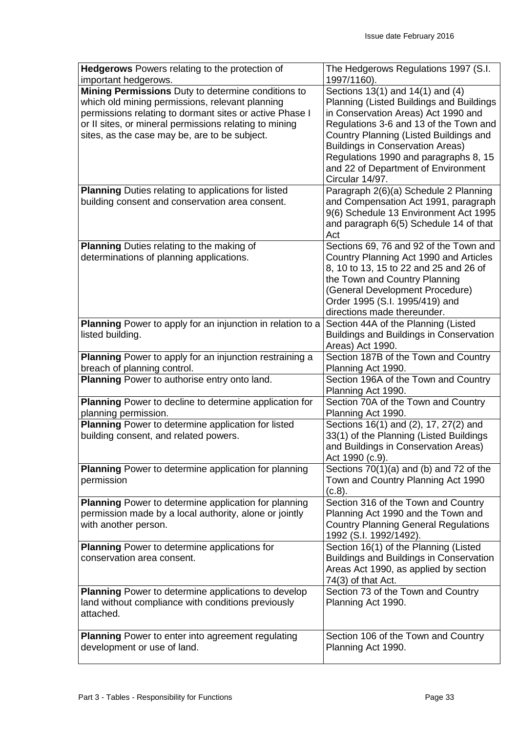| Hedgerows Powers relating to the protection of                                                | The Hedgerows Regulations 1997 (S.I.           |
|-----------------------------------------------------------------------------------------------|------------------------------------------------|
| important hedgerows.<br>Mining Permissions Duty to determine conditions to                    | 1997/1160).                                    |
|                                                                                               | Sections 13(1) and 14(1) and (4)               |
| which old mining permissions, relevant planning                                               | Planning (Listed Buildings and Buildings       |
| permissions relating to dormant sites or active Phase I                                       | in Conservation Areas) Act 1990 and            |
| or II sites, or mineral permissions relating to mining                                        | Regulations 3-6 and 13 of the Town and         |
| sites, as the case may be, are to be subject.                                                 | Country Planning (Listed Buildings and         |
|                                                                                               | <b>Buildings in Conservation Areas)</b>        |
|                                                                                               | Regulations 1990 and paragraphs 8, 15          |
|                                                                                               | and 22 of Department of Environment            |
|                                                                                               | Circular 14/97.                                |
| <b>Planning</b> Duties relating to applications for listed                                    | Paragraph 2(6)(a) Schedule 2 Planning          |
| building consent and conservation area consent.                                               | and Compensation Act 1991, paragraph           |
|                                                                                               | 9(6) Schedule 13 Environment Act 1995          |
|                                                                                               | and paragraph 6(5) Schedule 14 of that         |
|                                                                                               | Act                                            |
| <b>Planning Duties relating to the making of</b>                                              | Sections 69, 76 and 92 of the Town and         |
| determinations of planning applications.                                                      | Country Planning Act 1990 and Articles         |
|                                                                                               | 8, 10 to 13, 15 to 22 and 25 and 26 of         |
|                                                                                               | the Town and Country Planning                  |
|                                                                                               | (General Development Procedure)                |
|                                                                                               | Order 1995 (S.I. 1995/419) and                 |
|                                                                                               | directions made thereunder.                    |
| Planning Power to apply for an injunction in relation to a                                    | Section 44A of the Planning (Listed            |
| listed building.                                                                              | <b>Buildings and Buildings in Conservation</b> |
|                                                                                               | Areas) Act 1990.                               |
|                                                                                               | Section 187B of the Town and Country           |
| <b>Planning</b> Power to apply for an injunction restraining a<br>breach of planning control. | Planning Act 1990.                             |
| Planning Power to authorise entry onto land.                                                  | Section 196A of the Town and Country           |
|                                                                                               | Planning Act 1990.                             |
| Planning Power to decline to determine application for                                        | Section 70A of the Town and Country            |
| planning permission.                                                                          | Planning Act 1990.                             |
| Planning Power to determine application for listed                                            | Sections 16(1) and (2), 17, 27(2) and          |
| building consent, and related powers.                                                         | 33(1) of the Planning (Listed Buildings        |
|                                                                                               | and Buildings in Conservation Areas)           |
|                                                                                               | Act 1990 (c.9).                                |
| <b>Planning</b> Power to determine application for planning                                   | Sections $70(1)(a)$ and (b) and $72$ of the    |
| permission                                                                                    | Town and Country Planning Act 1990             |
|                                                                                               | (c.8).                                         |
| <b>Planning</b> Power to determine application for planning                                   | Section 316 of the Town and Country            |
| permission made by a local authority, alone or jointly                                        | Planning Act 1990 and the Town and             |
| with another person.                                                                          | <b>Country Planning General Regulations</b>    |
|                                                                                               | 1992 (S.I. 1992/1492).                         |
| Planning Power to determine applications for                                                  | Section 16(1) of the Planning (Listed          |
| conservation area consent.                                                                    | <b>Buildings and Buildings in Conservation</b> |
|                                                                                               | Areas Act 1990, as applied by section          |
|                                                                                               | 74(3) of that Act.                             |
| Planning Power to determine applications to develop                                           | Section 73 of the Town and Country             |
| land without compliance with conditions previously                                            | Planning Act 1990.                             |
| attached.                                                                                     |                                                |
|                                                                                               |                                                |
| <b>Planning</b> Power to enter into agreement regulating                                      | Section 106 of the Town and Country            |
| development or use of land.                                                                   | Planning Act 1990.                             |
|                                                                                               |                                                |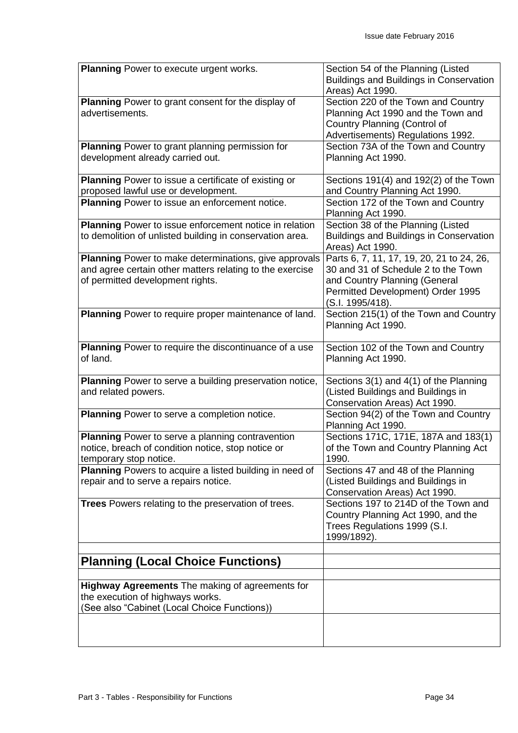| <b>Planning Power to execute urgent works.</b>                 | Section 54 of the Planning (Listed                                 |
|----------------------------------------------------------------|--------------------------------------------------------------------|
|                                                                | <b>Buildings and Buildings in Conservation</b><br>Areas) Act 1990. |
| Planning Power to grant consent for the display of             | Section 220 of the Town and Country                                |
| advertisements.                                                | Planning Act 1990 and the Town and                                 |
|                                                                | Country Planning (Control of                                       |
|                                                                | Advertisements) Regulations 1992.                                  |
| <b>Planning</b> Power to grant planning permission for         | Section 73A of the Town and Country                                |
| development already carried out.                               | Planning Act 1990.                                                 |
| Planning Power to issue a certificate of existing or           | Sections $191(4)$ and $192(2)$ of the Town                         |
| proposed lawful use or development.                            | and Country Planning Act 1990.                                     |
| Planning Power to issue an enforcement notice.                 | Section 172 of the Town and Country<br>Planning Act 1990.          |
| <b>Planning</b> Power to issue enforcement notice in relation  | Section 38 of the Planning (Listed                                 |
| to demolition of unlisted building in conservation area.       | <b>Buildings and Buildings in Conservation</b>                     |
|                                                                | Areas) Act 1990.                                                   |
| Planning Power to make determinations, give approvals          | Parts 6, 7, 11, 17, 19, 20, 21 to 24, 26,                          |
| and agree certain other matters relating to the exercise       | 30 and 31 of Schedule 2 to the Town                                |
| of permitted development rights.                               | and Country Planning (General                                      |
|                                                                | Permitted Development) Order 1995                                  |
|                                                                | (S.I. 1995/418).                                                   |
| Planning Power to require proper maintenance of land.          | Section 215(1) of the Town and Country                             |
|                                                                | Planning Act 1990.                                                 |
| Planning Power to require the discontinuance of a use          | Section 102 of the Town and Country                                |
| of land.                                                       | Planning Act 1990.                                                 |
|                                                                |                                                                    |
| <b>Planning</b> Power to serve a building preservation notice, | Sections 3(1) and 4(1) of the Planning                             |
| and related powers.                                            | (Listed Buildings and Buildings in                                 |
|                                                                | Conservation Areas) Act 1990.                                      |
| Planning Power to serve a completion notice.                   | Section 94(2) of the Town and Country<br>Planning Act 1990.        |
| <b>Planning</b> Power to serve a planning contravention        | Sections 171C, 171E, 187A and 183(1)                               |
| notice, breach of condition notice, stop notice or             | of the Town and Country Planning Act                               |
| temporary stop notice.                                         | 1990.                                                              |
| Planning Powers to acquire a listed building in need of        | Sections 47 and 48 of the Planning                                 |
| repair and to serve a repairs notice.                          | (Listed Buildings and Buildings in                                 |
|                                                                | Conservation Areas) Act 1990.                                      |
| <b>Trees</b> Powers relating to the preservation of trees.     | Sections 197 to 214D of the Town and                               |
|                                                                | Country Planning Act 1990, and the                                 |
|                                                                | Trees Regulations 1999 (S.I.                                       |
|                                                                | 1999/1892).                                                        |
| <b>Planning (Local Choice Functions)</b>                       |                                                                    |
|                                                                |                                                                    |
| <b>Highway Agreements</b> The making of agreements for         |                                                                    |
| the execution of highways works.                               |                                                                    |
| (See also "Cabinet (Local Choice Functions))                   |                                                                    |
|                                                                |                                                                    |
|                                                                |                                                                    |
|                                                                |                                                                    |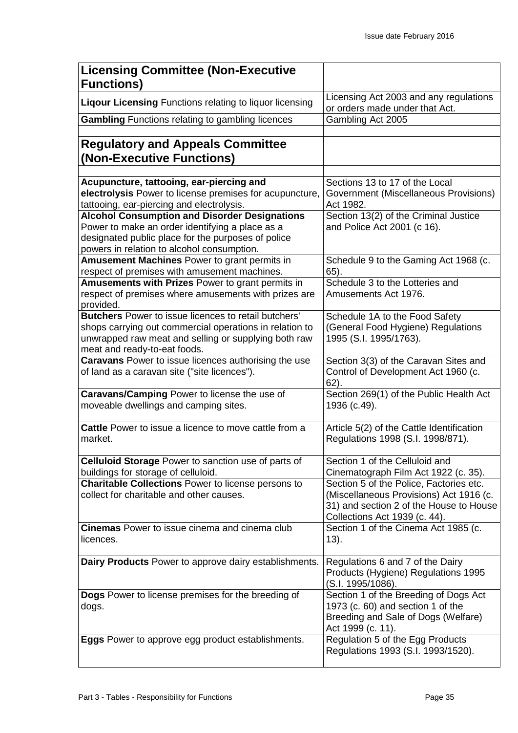| <b>Licensing Committee (Non-Executive</b><br><b>Functions)</b>                                                                                                                                                 |                                                                                                                                                                |
|----------------------------------------------------------------------------------------------------------------------------------------------------------------------------------------------------------------|----------------------------------------------------------------------------------------------------------------------------------------------------------------|
| <b>Liqour Licensing Functions relating to liquor licensing</b>                                                                                                                                                 | Licensing Act 2003 and any regulations<br>or orders made under that Act.                                                                                       |
| <b>Gambling</b> Functions relating to gambling licences                                                                                                                                                        | Gambling Act 2005                                                                                                                                              |
| <b>Regulatory and Appeals Committee</b><br>(Non-Executive Functions)                                                                                                                                           |                                                                                                                                                                |
| Acupuncture, tattooing, ear-piercing and<br>electrolysis Power to license premises for acupuncture,<br>tattooing, ear-piercing and electrolysis.                                                               | Sections 13 to 17 of the Local<br>Government (Miscellaneous Provisions)<br>Act 1982.                                                                           |
| <b>Alcohol Consumption and Disorder Designations</b><br>Power to make an order identifying a place as a<br>designated public place for the purposes of police<br>powers in relation to alcohol consumption.    | Section 13(2) of the Criminal Justice<br>and Police Act 2001 (c 16).                                                                                           |
| <b>Amusement Machines Power to grant permits in</b><br>respect of premises with amusement machines.                                                                                                            | Schedule 9 to the Gaming Act 1968 (c.<br>$65$ ).                                                                                                               |
| <b>Amusements with Prizes Power to grant permits in</b><br>respect of premises where amusements with prizes are<br>provided.                                                                                   | Schedule 3 to the Lotteries and<br>Amusements Act 1976.                                                                                                        |
| <b>Butchers</b> Power to issue licences to retail butchers'<br>shops carrying out commercial operations in relation to<br>unwrapped raw meat and selling or supplying both raw<br>meat and ready-to-eat foods. | Schedule 1A to the Food Safety<br>(General Food Hygiene) Regulations<br>1995 (S.I. 1995/1763).                                                                 |
| <b>Caravans</b> Power to issue licences authorising the use<br>of land as a caravan site ("site licences").                                                                                                    | Section 3(3) of the Caravan Sites and<br>Control of Development Act 1960 (c.<br>$62$ ).                                                                        |
| Caravans/Camping Power to license the use of<br>moveable dwellings and camping sites.                                                                                                                          | Section 269(1) of the Public Health Act<br>1936 (c.49).                                                                                                        |
| Cattle Power to issue a licence to move cattle from a<br>market.                                                                                                                                               | Article 5(2) of the Cattle Identification<br>Regulations 1998 (S.I. 1998/871).                                                                                 |
| <b>Celluloid Storage Power to sanction use of parts of</b><br>buildings for storage of celluloid.                                                                                                              | Section 1 of the Celluloid and<br>Cinematograph Film Act 1922 (c. 35).                                                                                         |
| <b>Charitable Collections Power to license persons to</b><br>collect for charitable and other causes.                                                                                                          | Section 5 of the Police, Factories etc.<br>(Miscellaneous Provisions) Act 1916 (c.<br>31) and section 2 of the House to House<br>Collections Act 1939 (c. 44). |
| <b>Cinemas</b> Power to issue cinema and cinema club<br>licences.                                                                                                                                              | Section 1 of the Cinema Act 1985 (c.<br>13).                                                                                                                   |
| Dairy Products Power to approve dairy establishments.                                                                                                                                                          | Regulations 6 and 7 of the Dairy<br>Products (Hygiene) Regulations 1995<br>(S.I. 1995/1086).                                                                   |
| Dogs Power to license premises for the breeding of<br>dogs.                                                                                                                                                    | Section 1 of the Breeding of Dogs Act<br>1973 (c. 60) and section 1 of the<br>Breeding and Sale of Dogs (Welfare)<br>Act 1999 (c. 11).                         |
| Eggs Power to approve egg product establishments.                                                                                                                                                              | Regulation 5 of the Egg Products<br>Regulations 1993 (S.I. 1993/1520).                                                                                         |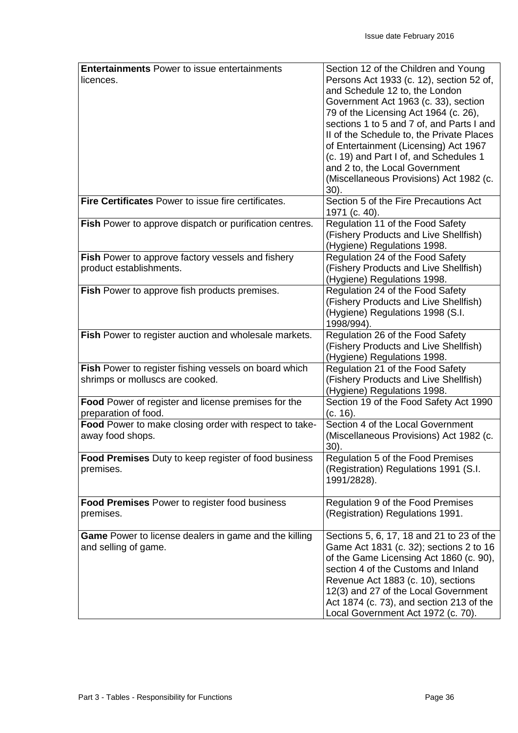| <b>Entertainments Power to issue entertainments</b>         | Section 12 of the Children and Young      |
|-------------------------------------------------------------|-------------------------------------------|
| licences.                                                   | Persons Act 1933 (c. 12), section 52 of,  |
|                                                             | and Schedule 12 to, the London            |
|                                                             | Government Act 1963 (c. 33), section      |
|                                                             | 79 of the Licensing Act 1964 (c. 26),     |
|                                                             | sections 1 to 5 and 7 of, and Parts I and |
|                                                             | II of the Schedule to, the Private Places |
|                                                             | of Entertainment (Licensing) Act 1967     |
|                                                             | (c. 19) and Part I of, and Schedules 1    |
|                                                             | and 2 to, the Local Government            |
|                                                             | (Miscellaneous Provisions) Act 1982 (c.   |
|                                                             | $30$ ).                                   |
| Fire Certificates Power to issue fire certificates.         | Section 5 of the Fire Precautions Act     |
|                                                             | 1971 (c. 40).                             |
| Fish Power to approve dispatch or purification centres.     | Regulation 11 of the Food Safety          |
|                                                             | (Fishery Products and Live Shellfish)     |
|                                                             | (Hygiene) Regulations 1998.               |
| <b>Fish Power to approve factory vessels and fishery</b>    | Regulation 24 of the Food Safety          |
| product establishments.                                     | (Fishery Products and Live Shellfish)     |
|                                                             | (Hygiene) Regulations 1998.               |
| Fish Power to approve fish products premises.               | Regulation 24 of the Food Safety          |
|                                                             | (Fishery Products and Live Shellfish)     |
|                                                             | (Hygiene) Regulations 1998 (S.I.          |
|                                                             | 1998/994).                                |
| Fish Power to register auction and wholesale markets.       | Regulation 26 of the Food Safety          |
|                                                             | (Fishery Products and Live Shellfish)     |
|                                                             | (Hygiene) Regulations 1998.               |
| Fish Power to register fishing vessels on board which       | Regulation 21 of the Food Safety          |
| shrimps or molluscs are cooked.                             | (Fishery Products and Live Shellfish)     |
|                                                             | (Hygiene) Regulations 1998.               |
| Food Power of register and license premises for the         | Section 19 of the Food Safety Act 1990    |
| preparation of food.                                        | (c. 16).                                  |
| Food Power to make closing order with respect to take-      | Section 4 of the Local Government         |
| away food shops.                                            | (Miscellaneous Provisions) Act 1982 (c.   |
|                                                             | 30).                                      |
| <b>Food Premises</b> Duty to keep register of food business | Regulation 5 of the Food Premises         |
| premises.                                                   | (Registration) Regulations 1991 (S.I.     |
|                                                             | 1991/2828).                               |
|                                                             |                                           |
| <b>Food Premises Power to register food business</b>        | Regulation 9 of the Food Premises         |
| premises.                                                   | (Registration) Regulations 1991.          |
|                                                             |                                           |
| Game Power to license dealers in game and the killing       | Sections 5, 6, 17, 18 and 21 to 23 of the |
| and selling of game.                                        | Game Act 1831 (c. 32); sections 2 to 16   |
|                                                             | of the Game Licensing Act 1860 (c. 90),   |
|                                                             | section 4 of the Customs and Inland       |
|                                                             | Revenue Act 1883 (c. 10), sections        |
|                                                             | 12(3) and 27 of the Local Government      |
|                                                             | Act 1874 (c. 73), and section 213 of the  |
|                                                             |                                           |
|                                                             | Local Government Act 1972 (c. 70).        |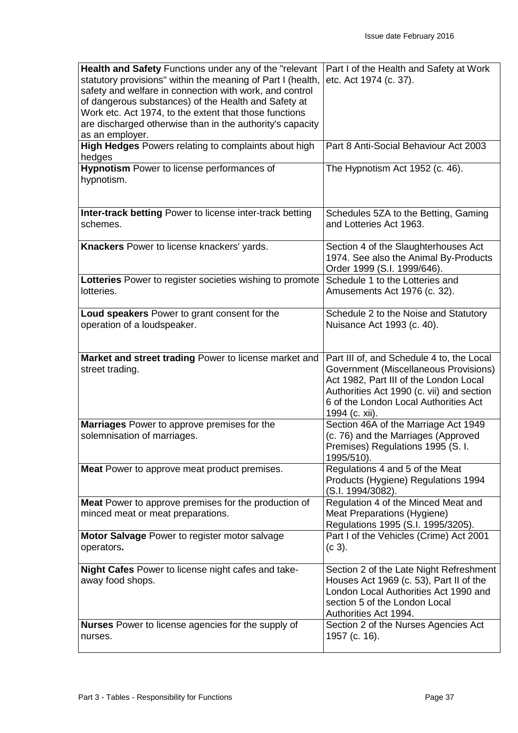| Health and Safety Functions under any of the "relevant<br>statutory provisions" within the meaning of Part I (health,<br>safety and welfare in connection with work, and control<br>of dangerous substances) of the Health and Safety at<br>Work etc. Act 1974, to the extent that those functions<br>are discharged otherwise than in the authority's capacity<br>as an employer. | Part I of the Health and Safety at Work<br>etc. Act 1974 (c. 37).                                                                                                                                                                    |
|------------------------------------------------------------------------------------------------------------------------------------------------------------------------------------------------------------------------------------------------------------------------------------------------------------------------------------------------------------------------------------|--------------------------------------------------------------------------------------------------------------------------------------------------------------------------------------------------------------------------------------|
| High Hedges Powers relating to complaints about high<br>hedges                                                                                                                                                                                                                                                                                                                     | Part 8 Anti-Social Behaviour Act 2003                                                                                                                                                                                                |
| Hypnotism Power to license performances of<br>hypnotism.                                                                                                                                                                                                                                                                                                                           | The Hypnotism Act 1952 (c. 46).                                                                                                                                                                                                      |
| Inter-track betting Power to license inter-track betting<br>schemes.                                                                                                                                                                                                                                                                                                               | Schedules 5ZA to the Betting, Gaming<br>and Lotteries Act 1963.                                                                                                                                                                      |
| Knackers Power to license knackers' yards.                                                                                                                                                                                                                                                                                                                                         | Section 4 of the Slaughterhouses Act<br>1974. See also the Animal By-Products<br>Order 1999 (S.I. 1999/646).                                                                                                                         |
| Lotteries Power to register societies wishing to promote<br>lotteries.                                                                                                                                                                                                                                                                                                             | Schedule 1 to the Lotteries and<br>Amusements Act 1976 (c. 32).                                                                                                                                                                      |
| Loud speakers Power to grant consent for the<br>operation of a loudspeaker.                                                                                                                                                                                                                                                                                                        | Schedule 2 to the Noise and Statutory<br>Nuisance Act 1993 (c. 40).                                                                                                                                                                  |
| Market and street trading Power to license market and<br>street trading.                                                                                                                                                                                                                                                                                                           | Part III of, and Schedule 4 to, the Local<br>Government (Miscellaneous Provisions)<br>Act 1982, Part III of the London Local<br>Authorities Act 1990 (c. vii) and section<br>6 of the London Local Authorities Act<br>1994 (c. xii). |
| Marriages Power to approve premises for the<br>solemnisation of marriages.                                                                                                                                                                                                                                                                                                         | Section 46A of the Marriage Act 1949<br>(c. 76) and the Marriages (Approved<br>Premises) Regulations 1995 (S. I.<br>1995/510).                                                                                                       |
| <b>Meat</b> Power to approve meat product premises.                                                                                                                                                                                                                                                                                                                                | Regulations 4 and 5 of the Meat<br>Products (Hygiene) Regulations 1994<br>(S.I. 1994/3082).                                                                                                                                          |
| <b>Meat</b> Power to approve premises for the production of<br>minced meat or meat preparations.                                                                                                                                                                                                                                                                                   | Regulation 4 of the Minced Meat and<br>Meat Preparations (Hygiene)<br>Regulations 1995 (S.I. 1995/3205).                                                                                                                             |
| Motor Salvage Power to register motor salvage<br>operators.                                                                                                                                                                                                                                                                                                                        | Part I of the Vehicles (Crime) Act 2001<br>$(c 3)$ .                                                                                                                                                                                 |
| Night Cafes Power to license night cafes and take-<br>away food shops.                                                                                                                                                                                                                                                                                                             | Section 2 of the Late Night Refreshment<br>Houses Act 1969 (c. 53), Part II of the<br>London Local Authorities Act 1990 and<br>section 5 of the London Local<br>Authorities Act 1994.                                                |
| <b>Nurses</b> Power to license agencies for the supply of<br>nurses.                                                                                                                                                                                                                                                                                                               | Section 2 of the Nurses Agencies Act<br>1957 (c. 16).                                                                                                                                                                                |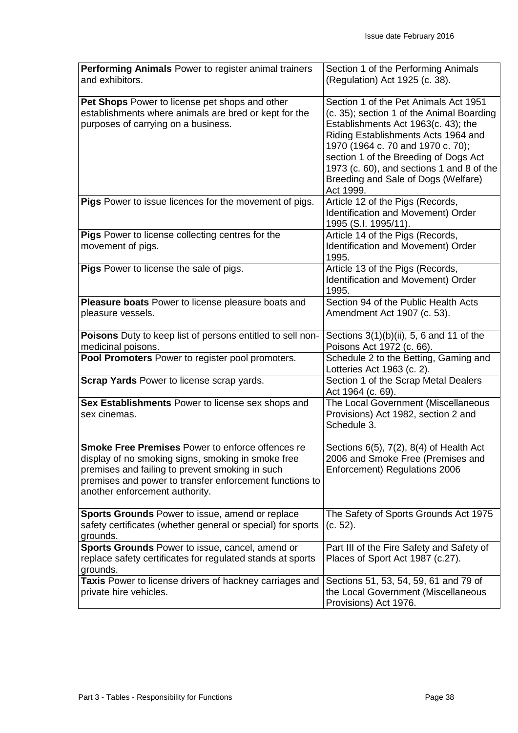| Performing Animals Power to register animal trainers<br>and exhibitors.                                                                                                                                                                                       | Section 1 of the Performing Animals<br>(Regulation) Act 1925 (c. 38).                                                                                                                                                                                                                                                                           |
|---------------------------------------------------------------------------------------------------------------------------------------------------------------------------------------------------------------------------------------------------------------|-------------------------------------------------------------------------------------------------------------------------------------------------------------------------------------------------------------------------------------------------------------------------------------------------------------------------------------------------|
|                                                                                                                                                                                                                                                               |                                                                                                                                                                                                                                                                                                                                                 |
| Pet Shops Power to license pet shops and other<br>establishments where animals are bred or kept for the<br>purposes of carrying on a business.                                                                                                                | Section 1 of the Pet Animals Act 1951<br>(c. 35); section 1 of the Animal Boarding<br>Establishments Act 1963(c. 43); the<br>Riding Establishments Acts 1964 and<br>1970 (1964 c. 70 and 1970 c. 70);<br>section 1 of the Breeding of Dogs Act<br>1973 (c. 60), and sections 1 and 8 of the<br>Breeding and Sale of Dogs (Welfare)<br>Act 1999. |
| Pigs Power to issue licences for the movement of pigs.                                                                                                                                                                                                        | Article 12 of the Pigs (Records,<br>Identification and Movement) Order<br>1995 (S.I. 1995/11).                                                                                                                                                                                                                                                  |
| Pigs Power to license collecting centres for the<br>movement of pigs.                                                                                                                                                                                         | Article 14 of the Pigs (Records,<br>Identification and Movement) Order<br>1995.                                                                                                                                                                                                                                                                 |
| Pigs Power to license the sale of pigs.                                                                                                                                                                                                                       | Article 13 of the Pigs (Records,<br>Identification and Movement) Order<br>1995.                                                                                                                                                                                                                                                                 |
| Pleasure boats Power to license pleasure boats and<br>pleasure vessels.                                                                                                                                                                                       | Section 94 of the Public Health Acts<br>Amendment Act 1907 (c. 53).                                                                                                                                                                                                                                                                             |
| Poisons Duty to keep list of persons entitled to sell non-<br>medicinal poisons.                                                                                                                                                                              | Sections $3(1)(b)(ii)$ , 5, 6 and 11 of the<br>Poisons Act 1972 (c. 66).                                                                                                                                                                                                                                                                        |
| Pool Promoters Power to register pool promoters.                                                                                                                                                                                                              | Schedule 2 to the Betting, Gaming and<br>Lotteries Act 1963 (c. 2).                                                                                                                                                                                                                                                                             |
| Scrap Yards Power to license scrap yards.                                                                                                                                                                                                                     | Section 1 of the Scrap Metal Dealers<br>Act 1964 (c. 69).                                                                                                                                                                                                                                                                                       |
| Sex Establishments Power to license sex shops and<br>sex cinemas.                                                                                                                                                                                             | The Local Government (Miscellaneous<br>Provisions) Act 1982, section 2 and<br>Schedule 3.                                                                                                                                                                                                                                                       |
| <b>Smoke Free Premises Power to enforce offences re</b><br>display of no smoking signs, smoking in smoke free<br>premises and failing to prevent smoking in such<br>premises and power to transfer enforcement functions to<br>another enforcement authority. | Sections 6(5), 7(2), 8(4) of Health Act<br>2006 and Smoke Free (Premises and<br>Enforcement) Regulations 2006                                                                                                                                                                                                                                   |
| Sports Grounds Power to issue, amend or replace<br>safety certificates (whether general or special) for sports<br>grounds.                                                                                                                                    | The Safety of Sports Grounds Act 1975<br>$(c. 52)$ .                                                                                                                                                                                                                                                                                            |
| Sports Grounds Power to issue, cancel, amend or<br>replace safety certificates for regulated stands at sports<br>grounds.                                                                                                                                     | Part III of the Fire Safety and Safety of<br>Places of Sport Act 1987 (c.27).                                                                                                                                                                                                                                                                   |
| Taxis Power to license drivers of hackney carriages and<br>private hire vehicles.                                                                                                                                                                             | Sections 51, 53, 54, 59, 61 and 79 of<br>the Local Government (Miscellaneous<br>Provisions) Act 1976.                                                                                                                                                                                                                                           |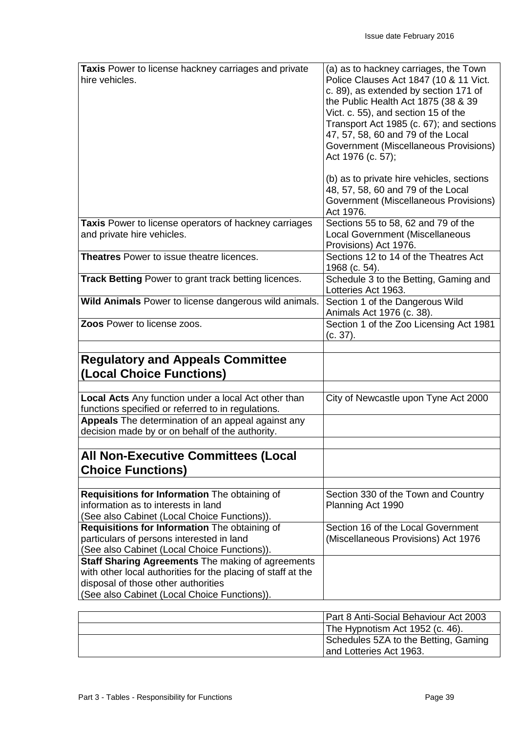| Taxis Power to license hackney carriages and private<br>hire vehicles.                                                                                                                                          | (a) as to hackney carriages, the Town<br>Police Clauses Act 1847 (10 & 11 Vict.<br>c. 89), as extended by section 171 of<br>the Public Health Act 1875 (38 & 39<br>Vict. c. 55), and section 15 of the<br>Transport Act 1985 (c. 67); and sections<br>47, 57, 58, 60 and 79 of the Local<br>Government (Miscellaneous Provisions)<br>Act 1976 (c. 57);<br>(b) as to private hire vehicles, sections<br>48, 57, 58, 60 and 79 of the Local<br>Government (Miscellaneous Provisions)<br>Act 1976. |
|-----------------------------------------------------------------------------------------------------------------------------------------------------------------------------------------------------------------|-------------------------------------------------------------------------------------------------------------------------------------------------------------------------------------------------------------------------------------------------------------------------------------------------------------------------------------------------------------------------------------------------------------------------------------------------------------------------------------------------|
| Taxis Power to license operators of hackney carriages<br>and private hire vehicles.                                                                                                                             | Sections 55 to 58, 62 and 79 of the<br><b>Local Government (Miscellaneous</b><br>Provisions) Act 1976.                                                                                                                                                                                                                                                                                                                                                                                          |
| <b>Theatres</b> Power to issue theatre licences.                                                                                                                                                                | Sections 12 to 14 of the Theatres Act<br>1968 (c. 54).                                                                                                                                                                                                                                                                                                                                                                                                                                          |
| <b>Track Betting Power to grant track betting licences.</b>                                                                                                                                                     | Schedule 3 to the Betting, Gaming and<br>Lotteries Act 1963.                                                                                                                                                                                                                                                                                                                                                                                                                                    |
| Wild Animals Power to license dangerous wild animals.                                                                                                                                                           | Section 1 of the Dangerous Wild<br>Animals Act 1976 (c. 38).                                                                                                                                                                                                                                                                                                                                                                                                                                    |
| Zoos Power to license zoos.                                                                                                                                                                                     | Section 1 of the Zoo Licensing Act 1981<br>(c. 37).                                                                                                                                                                                                                                                                                                                                                                                                                                             |
| <b>Regulatory and Appeals Committee</b><br>(Local Choice Functions)                                                                                                                                             |                                                                                                                                                                                                                                                                                                                                                                                                                                                                                                 |
| <b>Local Acts</b> Any function under a local Act other than<br>functions specified or referred to in regulations.                                                                                               | City of Newcastle upon Tyne Act 2000                                                                                                                                                                                                                                                                                                                                                                                                                                                            |
| Appeals The determination of an appeal against any<br>decision made by or on behalf of the authority.                                                                                                           |                                                                                                                                                                                                                                                                                                                                                                                                                                                                                                 |
| <b>All Non-Executive Committees (Local</b><br><b>Choice Functions)</b>                                                                                                                                          |                                                                                                                                                                                                                                                                                                                                                                                                                                                                                                 |
| Requisitions for Information The obtaining of<br>information as to interests in land<br>(See also Cabinet (Local Choice Functions)).                                                                            | Section 330 of the Town and Country<br>Planning Act 1990                                                                                                                                                                                                                                                                                                                                                                                                                                        |
| Requisitions for Information The obtaining of<br>particulars of persons interested in land<br>(See also Cabinet (Local Choice Functions)).                                                                      | Section 16 of the Local Government<br>(Miscellaneous Provisions) Act 1976                                                                                                                                                                                                                                                                                                                                                                                                                       |
| <b>Staff Sharing Agreements The making of agreements</b><br>with other local authorities for the placing of staff at the<br>disposal of those other authorities<br>(See also Cabinet (Local Choice Functions)). |                                                                                                                                                                                                                                                                                                                                                                                                                                                                                                 |

| Part 8 Anti-Social Behaviour Act 2003 |
|---------------------------------------|
| The Hypnotism Act 1952 (c. 46).       |
| Schedules 5ZA to the Betting, Gaming  |
| land Lotteries Act 1963.              |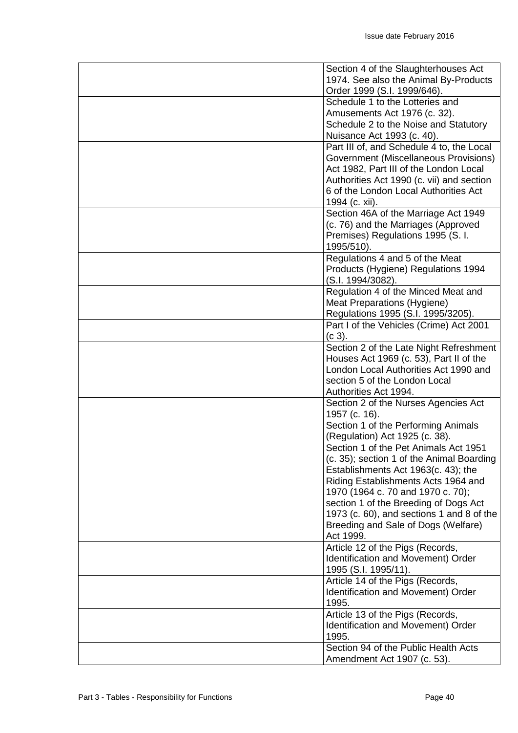| Section 4 of the Slaughterhouses Act                                  |
|-----------------------------------------------------------------------|
| 1974. See also the Animal By-Products                                 |
| Order 1999 (S.I. 1999/646).<br>Schedule 1 to the Lotteries and        |
|                                                                       |
| Amusements Act 1976 (c. 32).<br>Schedule 2 to the Noise and Statutory |
| Nuisance Act 1993 (c. 40).                                            |
| Part III of, and Schedule 4 to, the Local                             |
| Government (Miscellaneous Provisions)                                 |
| Act 1982, Part III of the London Local                                |
| Authorities Act 1990 (c. vii) and section                             |
| 6 of the London Local Authorities Act                                 |
| 1994 (c. xii).                                                        |
| Section 46A of the Marriage Act 1949                                  |
| (c. 76) and the Marriages (Approved                                   |
| Premises) Regulations 1995 (S. I.                                     |
| 1995/510).                                                            |
| Regulations 4 and 5 of the Meat                                       |
| Products (Hygiene) Regulations 1994                                   |
| (S.I. 1994/3082).                                                     |
| Regulation 4 of the Minced Meat and                                   |
| Meat Preparations (Hygiene)                                           |
| Regulations 1995 (S.I. 1995/3205).                                    |
| Part I of the Vehicles (Crime) Act 2001                               |
| (c 3).                                                                |
| Section 2 of the Late Night Refreshment                               |
| Houses Act 1969 (c. 53), Part II of the                               |
| London Local Authorities Act 1990 and                                 |
| section 5 of the London Local<br>Authorities Act 1994.                |
| Section 2 of the Nurses Agencies Act                                  |
| 1957 (c. 16).                                                         |
| Section 1 of the Performing Animals                                   |
| (Regulation) Act 1925 (c. 38).                                        |
| Section 1 of the Pet Animals Act 1951                                 |
| (c. 35); section 1 of the Animal Boarding                             |
| Establishments Act 1963(c. 43); the                                   |
| Riding Establishments Acts 1964 and                                   |
| 1970 (1964 c. 70 and 1970 c. 70);                                     |
| section 1 of the Breeding of Dogs Act                                 |
| 1973 (c. 60), and sections 1 and 8 of the                             |
| Breeding and Sale of Dogs (Welfare)                                   |
| Act 1999.                                                             |
| Article 12 of the Pigs (Records,                                      |
| Identification and Movement) Order                                    |
| 1995 (S.I. 1995/11).                                                  |
| Article 14 of the Pigs (Records,                                      |
| Identification and Movement) Order<br>1995.                           |
| Article 13 of the Pigs (Records,                                      |
| Identification and Movement) Order                                    |
| 1995.                                                                 |
| Section 94 of the Public Health Acts                                  |
| Amendment Act 1907 (c. 53).                                           |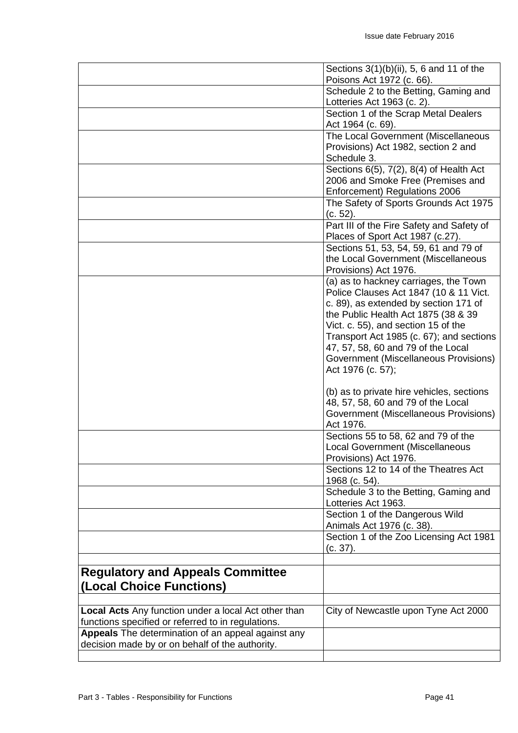|                                                                     | Sections 3(1)(b)(ii), 5, 6 and 11 of the<br>Poisons Act 1972 (c. 66). |
|---------------------------------------------------------------------|-----------------------------------------------------------------------|
|                                                                     | Schedule 2 to the Betting, Gaming and                                 |
|                                                                     | Lotteries Act 1963 (c. 2).                                            |
|                                                                     | Section 1 of the Scrap Metal Dealers                                  |
|                                                                     | Act 1964 (c. 69).                                                     |
|                                                                     | The Local Government (Miscellaneous                                   |
|                                                                     | Provisions) Act 1982, section 2 and                                   |
|                                                                     | Schedule 3.                                                           |
|                                                                     | Sections 6(5), 7(2), 8(4) of Health Act                               |
|                                                                     | 2006 and Smoke Free (Premises and                                     |
|                                                                     | Enforcement) Regulations 2006                                         |
|                                                                     | The Safety of Sports Grounds Act 1975                                 |
|                                                                     | (c. 52).                                                              |
|                                                                     | Part III of the Fire Safety and Safety of                             |
|                                                                     | Places of Sport Act 1987 (c.27).                                      |
|                                                                     | Sections 51, 53, 54, 59, 61 and 79 of                                 |
|                                                                     | the Local Government (Miscellaneous                                   |
|                                                                     | Provisions) Act 1976.                                                 |
|                                                                     | (a) as to hackney carriages, the Town                                 |
|                                                                     | Police Clauses Act 1847 (10 & 11 Vict.                                |
|                                                                     | c. 89), as extended by section 171 of                                 |
|                                                                     | the Public Health Act 1875 (38 & 39                                   |
|                                                                     | Vict. c. 55), and section 15 of the                                   |
|                                                                     | Transport Act 1985 (c. 67); and sections                              |
|                                                                     | 47, 57, 58, 60 and 79 of the Local                                    |
|                                                                     | Government (Miscellaneous Provisions)                                 |
|                                                                     | Act 1976 (c. 57);                                                     |
|                                                                     | (b) as to private hire vehicles, sections                             |
|                                                                     | 48, 57, 58, 60 and 79 of the Local                                    |
|                                                                     | Government (Miscellaneous Provisions)                                 |
|                                                                     | Act 1976.                                                             |
|                                                                     | Sections 55 to 58, 62 and 79 of the                                   |
|                                                                     | <b>Local Government (Miscellaneous</b>                                |
|                                                                     | Provisions) Act 1976.                                                 |
|                                                                     | Sections 12 to 14 of the Theatres Act                                 |
|                                                                     | 1968 (c. 54).                                                         |
|                                                                     | Schedule 3 to the Betting, Gaming and                                 |
|                                                                     | Lotteries Act 1963.                                                   |
|                                                                     | Section 1 of the Dangerous Wild                                       |
|                                                                     | Animals Act 1976 (c. 38).                                             |
|                                                                     | Section 1 of the Zoo Licensing Act 1981                               |
|                                                                     | (c. 37).                                                              |
|                                                                     |                                                                       |
| <b>Regulatory and Appeals Committee</b><br>(Local Choice Functions) |                                                                       |
|                                                                     |                                                                       |
| Local Acts Any function under a local Act other than                | City of Newcastle upon Tyne Act 2000                                  |
| functions specified or referred to in regulations.                  |                                                                       |
| Appeals The determination of an appeal against any                  |                                                                       |
| decision made by or on behalf of the authority.                     |                                                                       |
|                                                                     |                                                                       |